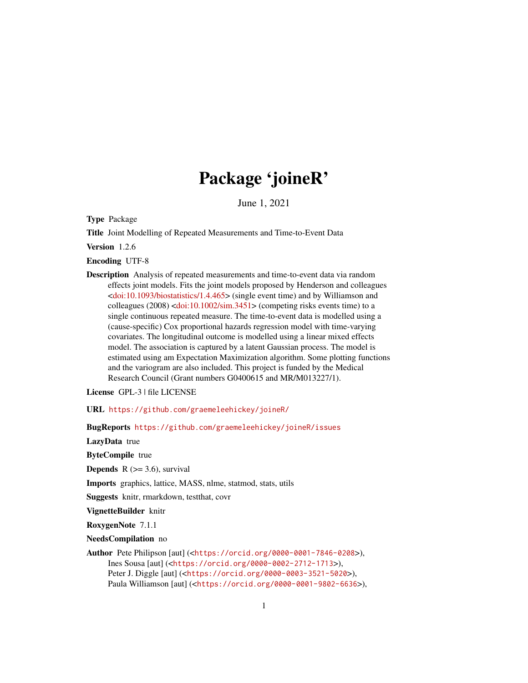# Package 'joineR'

June 1, 2021

<span id="page-0-0"></span>Type Package

Title Joint Modelling of Repeated Measurements and Time-to-Event Data

Version 1.2.6

Encoding UTF-8

Description Analysis of repeated measurements and time-to-event data via random effects joint models. Fits the joint models proposed by Henderson and colleagues  $\langle \text{doi:10.1093/biostatistics/1.4.465} \rangle$  (single event time) and by Williamson and colleagues (2008) [<doi:10.1002/sim.3451>](https://doi.org/10.1002/sim.3451) (competing risks events time) to a single continuous repeated measure. The time-to-event data is modelled using a (cause-specific) Cox proportional hazards regression model with time-varying covariates. The longitudinal outcome is modelled using a linear mixed effects model. The association is captured by a latent Gaussian process. The model is estimated using am Expectation Maximization algorithm. Some plotting functions and the variogram are also included. This project is funded by the Medical Research Council (Grant numbers G0400615 and MR/M013227/1).

License GPL-3 | file LICENSE

URL <https://github.com/graemeleehickey/joineR/>

BugReports <https://github.com/graemeleehickey/joineR/issues>

LazyData true

ByteCompile true

**Depends**  $R$  ( $>= 3.6$ ), survival

Imports graphics, lattice, MASS, nlme, statmod, stats, utils

Suggests knitr, rmarkdown, testthat, covr

VignetteBuilder knitr

RoxygenNote 7.1.1

NeedsCompilation no

Author Pete Philipson [aut] (<<https://orcid.org/0000-0001-7846-0208>>), Ines Sousa [aut] (<<https://orcid.org/0000-0002-2712-1713>>), Peter J. Diggle [aut] (<<https://orcid.org/0000-0003-3521-5020>>), Paula Williamson [aut] (<<https://orcid.org/0000-0001-9802-6636>>),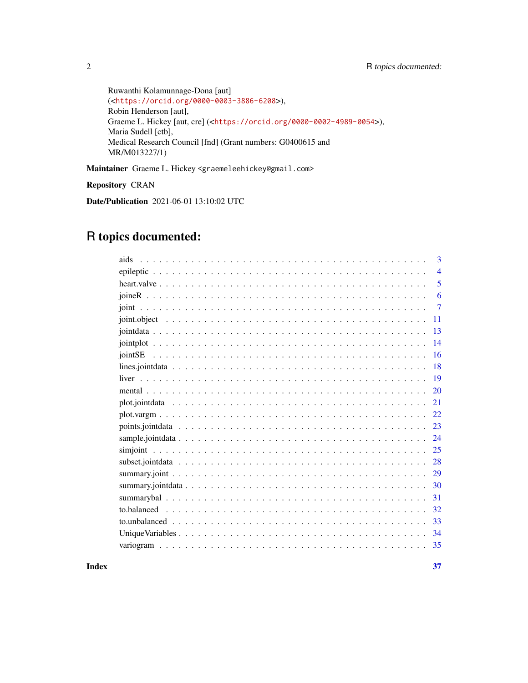```
Ruwanthi Kolamunnage-Dona [aut]
(<https://orcid.org/0000-0003-3886-6208>),
Robin Henderson [aut],
Graeme L. Hickey [aut, cre] (<https://orcid.org/0000-0002-4989-0054>),
Maria Sudell [ctb],
Medical Research Council [fnd] (Grant numbers: G0400615 and
MR/M013227/1)
```
Maintainer Graeme L. Hickey <graemeleehickey@gmail.com>

Repository CRAN

Date/Publication 2021-06-01 13:10:02 UTC

# R topics documented:

| aids | 3              |
|------|----------------|
|      | $\overline{4}$ |
|      | 5              |
|      | 6              |
|      | $\overline{7}$ |
|      | 11             |
|      | 13             |
|      | 14             |
|      | 16             |
|      | 18             |
|      | 19             |
|      | 20             |
|      | 21             |
|      | 22             |
|      | 23             |
|      | 24             |
|      | 25             |
|      | 28             |
|      | 29             |
|      | 30             |
|      | 31             |
|      | 32             |
|      | 33             |
|      | 34             |
|      | 35             |

**Index** [37](#page-36-0)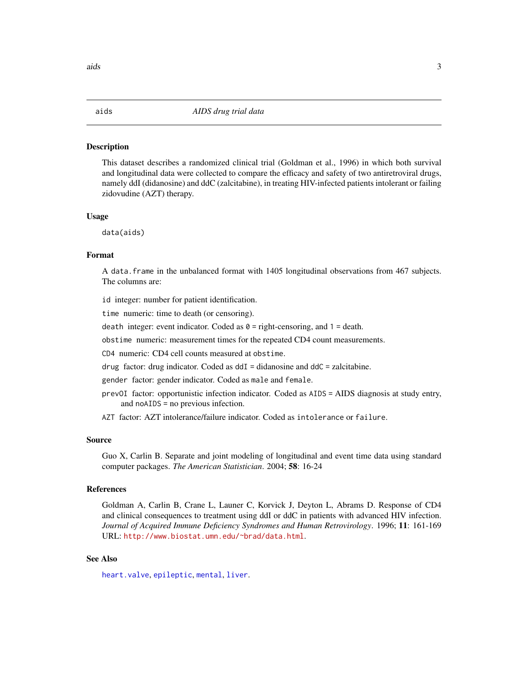#### <span id="page-2-1"></span><span id="page-2-0"></span>Description

This dataset describes a randomized clinical trial (Goldman et al., 1996) in which both survival and longitudinal data were collected to compare the efficacy and safety of two antiretroviral drugs, namely ddI (didanosine) and ddC (zalcitabine), in treating HIV-infected patients intolerant or failing zidovudine (AZT) therapy.

# Usage

data(aids)

# Format

A data.frame in the unbalanced format with 1405 longitudinal observations from 467 subjects. The columns are:

id integer: number for patient identification.

time numeric: time to death (or censoring).

death integer: event indicator. Coded as  $\theta$  = right-censoring, and 1 = death.

obstime numeric: measurement times for the repeated CD4 count measurements.

CD4 numeric: CD4 cell counts measured at obstime.

drug factor: drug indicator. Coded as  $ddI = didanosine$  and  $ddC = zalcitable$ .

gender factor: gender indicator. Coded as male and female.

- prevOI factor: opportunistic infection indicator. Coded as AIDS = AIDS diagnosis at study entry, and noAIDS = no previous infection.
- AZT factor: AZT intolerance/failure indicator. Coded as intolerance or failure.

# Source

Guo X, Carlin B. Separate and joint modeling of longitudinal and event time data using standard computer packages. *The American Statistician*. 2004; 58: 16-24

# References

Goldman A, Carlin B, Crane L, Launer C, Korvick J, Deyton L, Abrams D. Response of CD4 and clinical consequences to treatment using ddI or ddC in patients with advanced HIV infection. *Journal of Acquired Immune Deficiency Syndromes and Human Retrovirology*. 1996; 11: 161-169 URL: <http://www.biostat.umn.edu/~brad/data.html>.

# See Also

[heart.valve](#page-4-1), [epileptic](#page-3-1), [mental](#page-19-1), [liver](#page-18-1).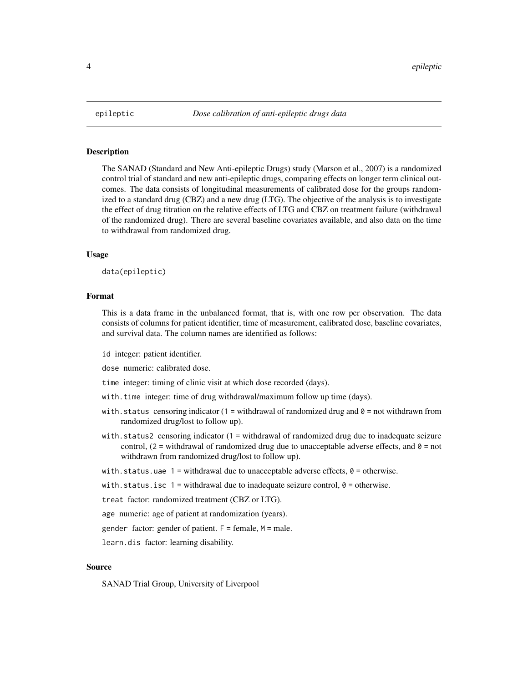<span id="page-3-1"></span><span id="page-3-0"></span>

# **Description**

The SANAD (Standard and New Anti-epileptic Drugs) study (Marson et al., 2007) is a randomized control trial of standard and new anti-epileptic drugs, comparing effects on longer term clinical outcomes. The data consists of longitudinal measurements of calibrated dose for the groups randomized to a standard drug (CBZ) and a new drug (LTG). The objective of the analysis is to investigate the effect of drug titration on the relative effects of LTG and CBZ on treatment failure (withdrawal of the randomized drug). There are several baseline covariates available, and also data on the time to withdrawal from randomized drug.

## Usage

data(epileptic)

#### Format

This is a data frame in the unbalanced format, that is, with one row per observation. The data consists of columns for patient identifier, time of measurement, calibrated dose, baseline covariates, and survival data. The column names are identified as follows:

id integer: patient identifier.

dose numeric: calibrated dose.

time integer: timing of clinic visit at which dose recorded (days).

- with.time integer: time of drug withdrawal/maximum follow up time (days).
- with.status censoring indicator  $(1 =$  withdrawal of randomized drug and  $0 =$  not withdrawn from randomized drug/lost to follow up).
- with.status2 censoring indicator (1 = withdrawal of randomized drug due to inadequate seizure control,  $(2 =$  withdrawal of randomized drug due to unacceptable adverse effects, and  $\theta =$  not withdrawn from randomized drug/lost to follow up).

with.status.uae  $1 =$  withdrawal due to unacceptable adverse effects,  $\theta =$  otherwise.

with.status.isc  $1 =$  withdrawal due to inadequate seizure control,  $\theta =$  otherwise.

treat factor: randomized treatment (CBZ or LTG).

age numeric: age of patient at randomization (years).

gender factor: gender of patient.  $F =$  female,  $M =$  male.

learn.dis factor: learning disability.

# Source

SANAD Trial Group, University of Liverpool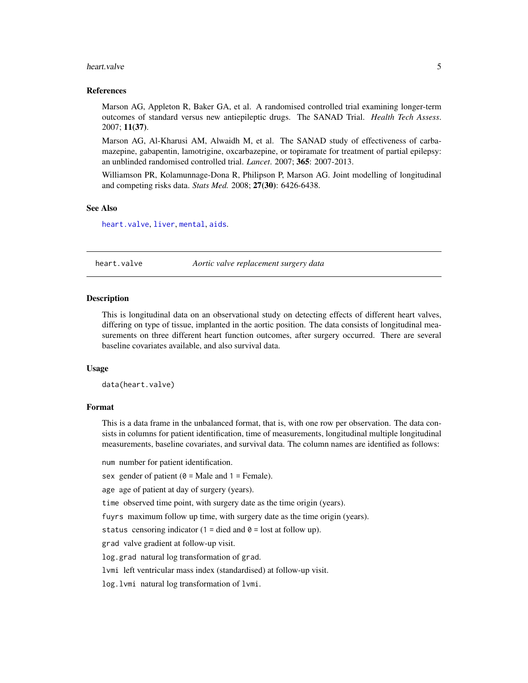#### <span id="page-4-0"></span>heart.valve 5

# References

Marson AG, Appleton R, Baker GA, et al. A randomised controlled trial examining longer-term outcomes of standard versus new antiepileptic drugs. The SANAD Trial. *Health Tech Assess*. 2007; 11(37).

Marson AG, Al-Kharusi AM, Alwaidh M, et al. The SANAD study of effectiveness of carbamazepine, gabapentin, lamotrigine, oxcarbazepine, or topiramate for treatment of partial epilepsy: an unblinded randomised controlled trial. *Lancet*. 2007; 365: 2007-2013.

Williamson PR, Kolamunnage-Dona R, Philipson P, Marson AG. Joint modelling of longitudinal and competing risks data. *Stats Med.* 2008; 27(30): 6426-6438.

# See Also

[heart.valve](#page-4-1), [liver](#page-18-1), [mental](#page-19-1), [aids](#page-2-1).

<span id="page-4-1"></span>heart.valve *Aortic valve replacement surgery data*

# Description

This is longitudinal data on an observational study on detecting effects of different heart valves, differing on type of tissue, implanted in the aortic position. The data consists of longitudinal measurements on three different heart function outcomes, after surgery occurred. There are several baseline covariates available, and also survival data.

# Usage

data(heart.valve)

#### Format

This is a data frame in the unbalanced format, that is, with one row per observation. The data consists in columns for patient identification, time of measurements, longitudinal multiple longitudinal measurements, baseline covariates, and survival data. The column names are identified as follows:

num number for patient identification.

sex gender of patient  $(0 = Male$  and  $1 = Female$ ).

age age of patient at day of surgery (years).

time observed time point, with surgery date as the time origin (years).

fuyrs maximum follow up time, with surgery date as the time origin (years).

status censoring indicator (1 = died and  $\theta$  = lost at follow up).

grad valve gradient at follow-up visit.

log.grad natural log transformation of grad.

lvmi left ventricular mass index (standardised) at follow-up visit.

log.lvmi natural log transformation of lvmi.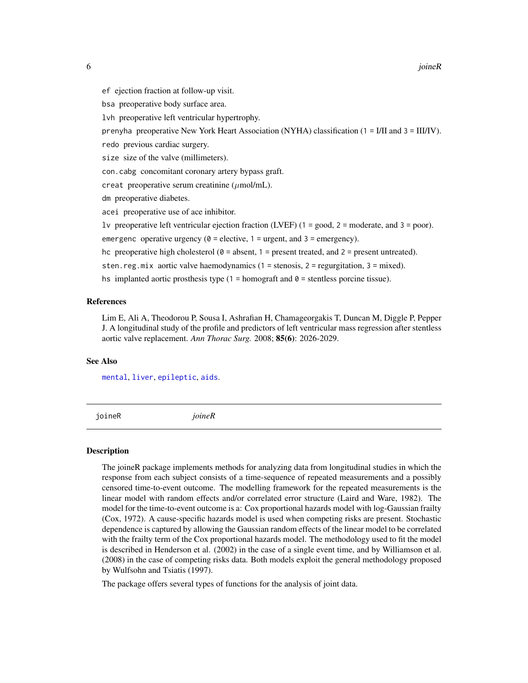<span id="page-5-0"></span>ef ejection fraction at follow-up visit.

bsa preoperative body surface area.

lvh preoperative left ventricular hypertrophy.

prenyha preoperative New York Heart Association (NYHA) classification (1 = I/II and 3 = III/IV).

redo previous cardiac surgery.

size size of the valve (millimeters).

con.cabg concomitant coronary artery bypass graft.

creat preoperative serum creatinine  $(\mu \text{mol/mL})$ .

dm preoperative diabetes.

acei preoperative use of ace inhibitor.

lv preoperative left ventricular ejection fraction (LVEF) (1 = good, 2 = moderate, and 3 = poor).

emergenc operative urgency ( $\theta$  = elective, 1 = urgent, and 3 = emergency).

hc preoperative high cholesterol  $(0 =$  absent, 1 = present treated, and 2 = present untreated).

sten.reg.mix aortic valve haemodynamics (1 = stenosis, 2 = regurgitation, 3 = mixed).

hs implanted aortic prosthesis type  $(1 = homograf and 0 = sentences porcine tissue)$ .

# References

Lim E, Ali A, Theodorou P, Sousa I, Ashrafian H, Chamageorgakis T, Duncan M, Diggle P, Pepper J. A longitudinal study of the profile and predictors of left ventricular mass regression after stentless aortic valve replacement. *Ann Thorac Surg.* 2008; 85(6): 2026-2029.

# See Also

[mental](#page-19-1), [liver](#page-18-1), [epileptic](#page-3-1), [aids](#page-2-1).

joineR *joineR*

#### Description

The joineR package implements methods for analyzing data from longitudinal studies in which the response from each subject consists of a time-sequence of repeated measurements and a possibly censored time-to-event outcome. The modelling framework for the repeated measurements is the linear model with random effects and/or correlated error structure (Laird and Ware, 1982). The model for the time-to-event outcome is a: Cox proportional hazards model with log-Gaussian frailty (Cox, 1972). A cause-specific hazards model is used when competing risks are present. Stochastic dependence is captured by allowing the Gaussian random effects of the linear model to be correlated with the frailty term of the Cox proportional hazards model. The methodology used to fit the model is described in Henderson et al. (2002) in the case of a single event time, and by Williamson et al. (2008) in the case of competing risks data. Both models exploit the general methodology proposed by Wulfsohn and Tsiatis (1997).

The package offers several types of functions for the analysis of joint data.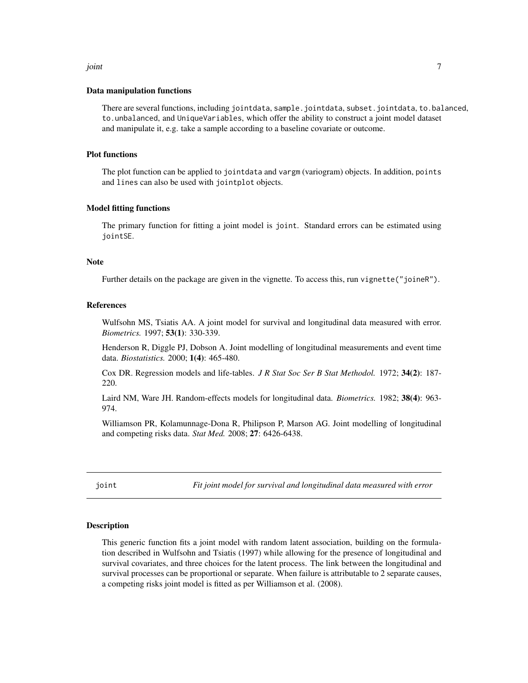#### <span id="page-6-0"></span>joint 7

# Data manipulation functions

There are several functions, including jointdata, sample.jointdata, subset.jointdata, to.balanced, to.unbalanced, and UniqueVariables, which offer the ability to construct a joint model dataset and manipulate it, e.g. take a sample according to a baseline covariate or outcome.

#### Plot functions

The plot function can be applied to jointdata and vargm (variogram) objects. In addition, points and lines can also be used with jointplot objects.

# Model fitting functions

The primary function for fitting a joint model is joint. Standard errors can be estimated using jointSE.

# **Note**

Further details on the package are given in the vignette. To access this, run vignette("joineR").

# References

Wulfsohn MS, Tsiatis AA. A joint model for survival and longitudinal data measured with error. *Biometrics.* 1997; 53(1): 330-339.

Henderson R, Diggle PJ, Dobson A. Joint modelling of longitudinal measurements and event time data. *Biostatistics.* 2000; 1(4): 465-480.

Cox DR. Regression models and life-tables. *J R Stat Soc Ser B Stat Methodol.* 1972; 34(2): 187- 220.

Laird NM, Ware JH. Random-effects models for longitudinal data. *Biometrics.* 1982; 38(4): 963- 974.

Williamson PR, Kolamunnage-Dona R, Philipson P, Marson AG. Joint modelling of longitudinal and competing risks data. *Stat Med.* 2008; 27: 6426-6438.

<span id="page-6-1"></span>joint *Fit joint model for survival and longitudinal data measured with error*

#### Description

This generic function fits a joint model with random latent association, building on the formulation described in Wulfsohn and Tsiatis (1997) while allowing for the presence of longitudinal and survival covariates, and three choices for the latent process. The link between the longitudinal and survival processes can be proportional or separate. When failure is attributable to 2 separate causes, a competing risks joint model is fitted as per Williamson et al. (2008).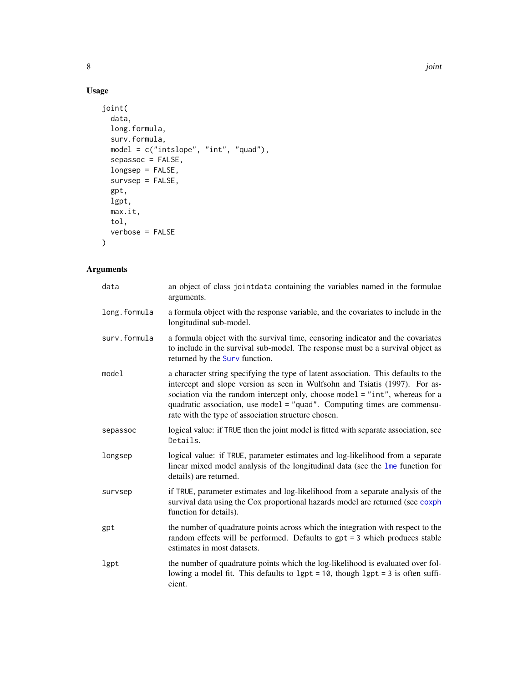# Usage

```
joint(
 data,
 long.formula,
 surv.formula,
 model = c("intslope", "int", "quad"),
 sepassoc = FALSE,
 longsep = FALSE,
 survsep = FALSE,
 gpt,
 lgpt,
 max.it,
 tol,
 verbose = FALSE
\mathcal{L}
```

| data         | an object of class jointdata containing the variables named in the formulae<br>arguments.                                                                                                                                                                                                                                                                                            |
|--------------|--------------------------------------------------------------------------------------------------------------------------------------------------------------------------------------------------------------------------------------------------------------------------------------------------------------------------------------------------------------------------------------|
| long.formula | a formula object with the response variable, and the covariates to include in the<br>longitudinal sub-model.                                                                                                                                                                                                                                                                         |
| surv.formula | a formula object with the survival time, censoring indicator and the covariates<br>to include in the survival sub-model. The response must be a survival object as<br>returned by the Surv function.                                                                                                                                                                                 |
| model        | a character string specifying the type of latent association. This defaults to the<br>intercept and slope version as seen in Wulfsohn and Tsiatis (1997). For as-<br>sociation via the random intercept only, choose model = "int", whereas for a<br>quadratic association, use model = "quad". Computing times are commensu-<br>rate with the type of association structure chosen. |
| sepassoc     | logical value: if TRUE then the joint model is fitted with separate association, see<br>Details.                                                                                                                                                                                                                                                                                     |
| longsep      | logical value: if TRUE, parameter estimates and log-likelihood from a separate<br>linear mixed model analysis of the longitudinal data (see the lme function for<br>details) are returned.                                                                                                                                                                                           |
| survsep      | if TRUE, parameter estimates and log-likelihood from a separate analysis of the<br>survival data using the Cox proportional hazards model are returned (see coxph<br>function for details).                                                                                                                                                                                          |
| gpt          | the number of quadrature points across which the integration with respect to the<br>random effects will be performed. Defaults to $gpt = 3$ which produces stable<br>estimates in most datasets.                                                                                                                                                                                     |
| lgpt         | the number of quadrature points which the log-likelihood is evaluated over fol-<br>lowing a model fit. This defaults to $1gt = 10$ , though $1gt = 3$ is often suffi-<br>cient.                                                                                                                                                                                                      |

<span id="page-7-0"></span>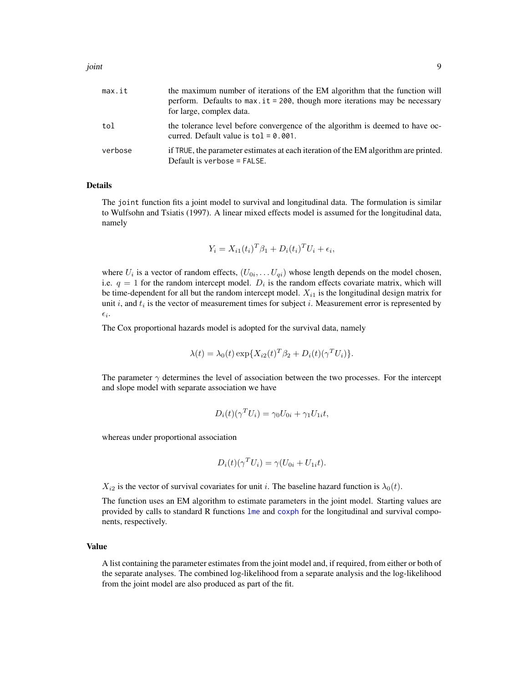| max.it  | the maximum number of iterations of the EM algorithm that the function will<br>perform. Defaults to $max$ . it = 200, though more iterations may be necessary<br>for large, complex data. |
|---------|-------------------------------------------------------------------------------------------------------------------------------------------------------------------------------------------|
| tol     | the tolerance level before convergence of the algorithm is deemed to have oc-<br>curred. Default value is $tol = 0.001$ .                                                                 |
| verbose | if TRUE, the parameter estimates at each iteration of the EM algorithm are printed.<br>Default is verbose = FALSE.                                                                        |

# Details

The joint function fits a joint model to survival and longitudinal data. The formulation is similar to Wulfsohn and Tsiatis (1997). A linear mixed effects model is assumed for the longitudinal data, namely

$$
Y_i = X_{i1}(t_i)^T \beta_1 + D_i(t_i)^T U_i + \epsilon_i,
$$

where  $U_i$  is a vector of random effects,  $(U_{0i}, \ldots U_{qi})$  whose length depends on the model chosen, i.e.  $q = 1$  for the random intercept model.  $D_i$  is the random effects covariate matrix, which will be time-dependent for all but the random intercept model.  $X_{i1}$  is the longitudinal design matrix for unit i, and  $t_i$  is the vector of measurement times for subject i. Measurement error is represented by  $\epsilon_i$ .

The Cox proportional hazards model is adopted for the survival data, namely

$$
\lambda(t) = \lambda_0(t) \exp\{X_{i2}(t)^T \beta_2 + D_i(t)(\gamma^T U_i)\}.
$$

The parameter  $\gamma$  determines the level of association between the two processes. For the intercept and slope model with separate association we have

$$
D_i(t)(\gamma^T U_i) = \gamma_0 U_{0i} + \gamma_1 U_{1i} t,
$$

whereas under proportional association

$$
D_i(t)(\gamma^T U_i) = \gamma (U_{0i} + U_{1i}t).
$$

 $X_{i2}$  is the vector of survival covariates for unit i. The baseline hazard function is  $\lambda_0(t)$ .

The function uses an EM algorithm to estimate parameters in the joint model. Starting values are provided by calls to standard R functions [lme](#page-0-0) and [coxph](#page-0-0) for the longitudinal and survival components, respectively.

# Value

A list containing the parameter estimates from the joint model and, if required, from either or both of the separate analyses. The combined log-likelihood from a separate analysis and the log-likelihood from the joint model are also produced as part of the fit.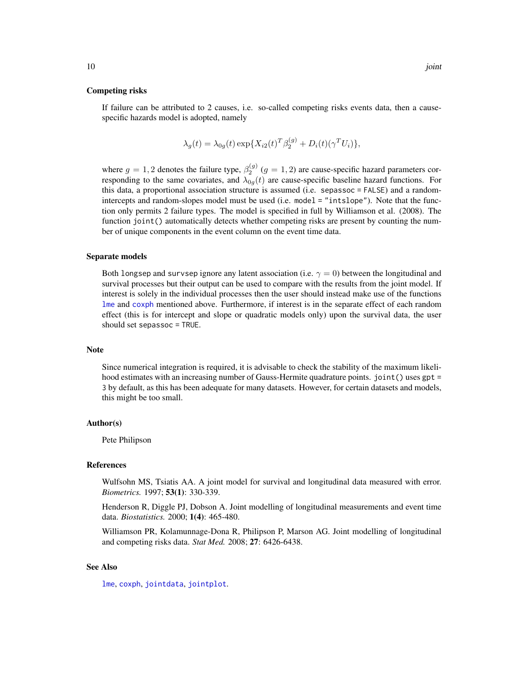#### <span id="page-9-0"></span>Competing risks

If failure can be attributed to 2 causes, i.e. so-called competing risks events data, then a causespecific hazards model is adopted, namely

$$
\lambda_g(t) = \lambda_{0g}(t) \exp\{X_{i2}(t)^T \beta_2^{(g)} + D_i(t) (\gamma^T U_i)\},
$$

where  $g = 1, 2$  denotes the failure type,  $\beta_2^{(g)}$   $(g = 1, 2)$  are cause-specific hazard parameters corresponding to the same covariates, and  $\lambda_{0g}(t)$  are cause-specific baseline hazard functions. For this data, a proportional association structure is assumed (i.e. sepassoc = FALSE) and a randomintercepts and random-slopes model must be used (i.e. model = "intslope"). Note that the function only permits 2 failure types. The model is specified in full by Williamson et al. (2008). The function joint () automatically detects whether competing risks are present by counting the number of unique components in the event column on the event time data.

#### Separate models

Both longsep and survsep ignore any latent association (i.e.  $\gamma = 0$ ) between the longitudinal and survival processes but their output can be used to compare with the results from the joint model. If interest is solely in the individual processes then the user should instead make use of the functions [lme](#page-0-0) and [coxph](#page-0-0) mentioned above. Furthermore, if interest is in the separate effect of each random effect (this is for intercept and slope or quadratic models only) upon the survival data, the user should set sepassoc = TRUE.

#### Note

Since numerical integration is required, it is advisable to check the stability of the maximum likelihood estimates with an increasing number of Gauss-Hermite quadrature points. joint () uses gpt = 3 by default, as this has been adequate for many datasets. However, for certain datasets and models, this might be too small.

#### Author(s)

Pete Philipson

# References

Wulfsohn MS, Tsiatis AA. A joint model for survival and longitudinal data measured with error. *Biometrics.* 1997; 53(1): 330-339.

Henderson R, Diggle PJ, Dobson A. Joint modelling of longitudinal measurements and event time data. *Biostatistics.* 2000; 1(4): 465-480.

Williamson PR, Kolamunnage-Dona R, Philipson P, Marson AG. Joint modelling of longitudinal and competing risks data. *Stat Med.* 2008; 27: 6426-6438.

# See Also

[lme](#page-0-0), [coxph](#page-0-0), [jointdata](#page-12-1), [jointplot](#page-13-1).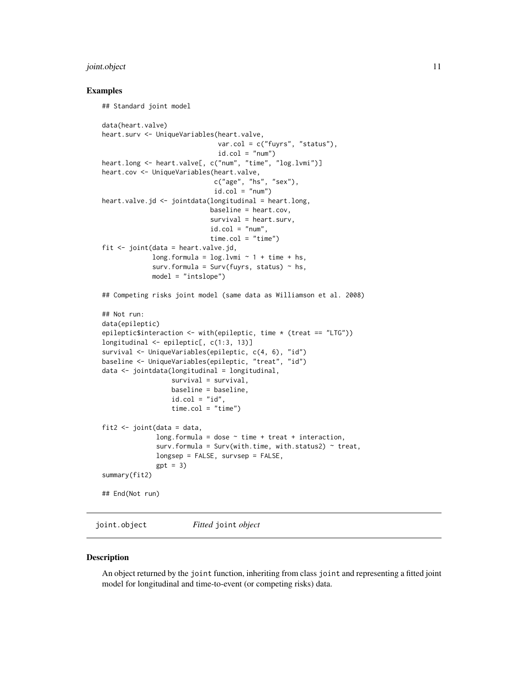# <span id="page-10-0"></span>joint.object 11

# Examples

```
## Standard joint model
data(heart.valve)
heart.surv <- UniqueVariables(heart.valve,
                              var.col = c("fuyrs", "status"),
                               id.co1 = "num")heart.long <- heart.valve[, c("num", "time", "log.lvmi")]
heart.cov <- UniqueVariables(heart.valve,
                             c("age", "hs", "sex"),
                             id.col = "num")heart.valve.jd <- jointdata(longitudinal = heart.long,
                            baseline = heart.cov,
                            survival = heart.surv,
                            id.col = "num",time.col = "time")fit \le joint(data = heart.valve.jd,
             long.formula = log.lvmi ~ 1 + time + hs,
             surv.formula = Surv(fuyrs, status) \sim hs,
             model = "intslope")
## Competing risks joint model (same data as Williamson et al. 2008)
## Not run:
data(epileptic)
epileptic$interaction <- with(epileptic, time * (treat == "LTG"))
longitudinal <- epileptic[, c(1:3, 13)]
survival <- UniqueVariables(epileptic, c(4, 6), "id")
baseline <- UniqueVariables(epileptic, "treat", "id")
data <- jointdata(longitudinal = longitudinal,
                  survival = survival,
                  baseline = baseline,
                  id.col = "id",time.col = "time")
fit2 \leftarrow joint(data = data,
              long.formula = dose \sim time + treat + interaction,
              surv.formula = Surv(with.time, with.status2) \sim treat,
              longsep = FALSE, survsep = FALSE,
              gpt = 3summary(fit2)
## End(Not run)
```
joint.object *Fitted* joint *object*

#### **Description**

An object returned by the joint function, inheriting from class joint and representing a fitted joint model for longitudinal and time-to-event (or competing risks) data.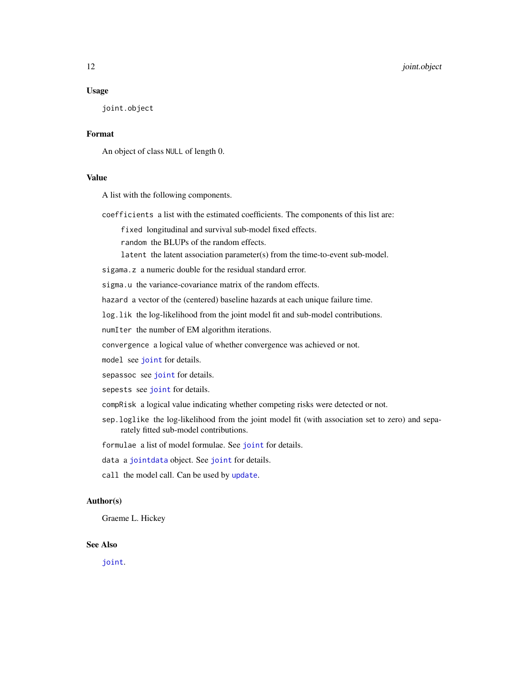# <span id="page-11-0"></span>Usage

joint.object

# Format

An object of class NULL of length 0.

# Value

A list with the following components.

coefficients a list with the estimated coefficients. The components of this list are:

fixed longitudinal and survival sub-model fixed effects.

random the BLUPs of the random effects.

latent the latent association parameter(s) from the time-to-event sub-model.

sigama.z a numeric double for the residual standard error.

sigma.u the variance-covariance matrix of the random effects.

hazard a vector of the (centered) baseline hazards at each unique failure time.

log.lik the log-likelihood from the joint model fit and sub-model contributions.

numIter the number of EM algorithm iterations.

convergence a logical value of whether convergence was achieved or not.

model see [joint](#page-6-1) for details.

sepassoc see [joint](#page-6-1) for details.

sepests see [joint](#page-6-1) for details.

- compRisk a logical value indicating whether competing risks were detected or not.
- sep.loglike the log-likelihood from the joint model fit (with association set to zero) and separately fitted sub-model contributions.

formulae a list of model formulae. See [joint](#page-6-1) for details.

data a [jointdata](#page-12-1) object. See [joint](#page-6-1) for details.

call the model call. Can be used by [update](#page-0-0).

# Author(s)

Graeme L. Hickey

# See Also

[joint](#page-6-1).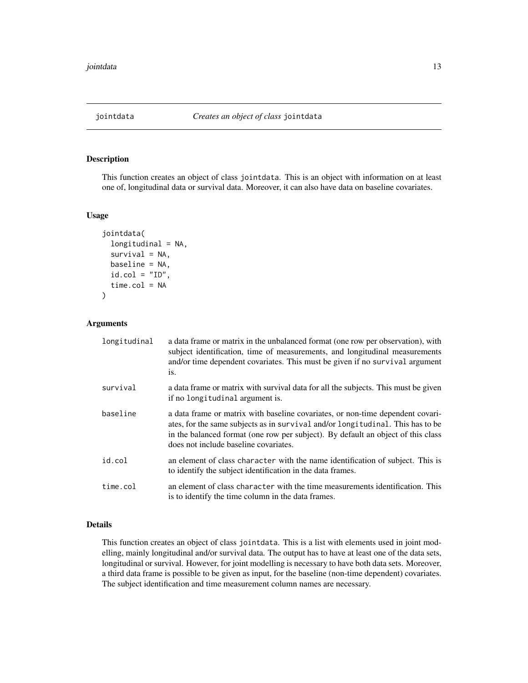<span id="page-12-1"></span><span id="page-12-0"></span>

# Description

This function creates an object of class jointdata. This is an object with information on at least one of, longitudinal data or survival data. Moreover, it can also have data on baseline covariates.

# Usage

```
jointdata(
  longitudinal = NA,
  survival = NA,
 baseline = NA,
  id.co1 = "ID",time.col = NA
)
```
# Arguments

| longitudinal | a data frame or matrix in the unbalanced format (one row per observation), with<br>subject identification, time of measurements, and longitudinal measurements<br>and/or time dependent covariates. This must be given if no survival argument<br>is.                                         |
|--------------|-----------------------------------------------------------------------------------------------------------------------------------------------------------------------------------------------------------------------------------------------------------------------------------------------|
| survival     | a data frame or matrix with survival data for all the subjects. This must be given<br>if no longitudinal argument is.                                                                                                                                                                         |
| baseline     | a data frame or matrix with baseline covariates, or non-time dependent covari-<br>ates, for the same subjects as in survival and/or longitudinal. This has to be<br>in the balanced format (one row per subject). By default an object of this class<br>does not include baseline covariates. |
| id.col       | an element of class character with the name identification of subject. This is<br>to identify the subject identification in the data frames.                                                                                                                                                  |
| time.col     | an element of class character with the time measurements identification. This<br>is to identify the time column in the data frames.                                                                                                                                                           |

# Details

This function creates an object of class jointdata. This is a list with elements used in joint modelling, mainly longitudinal and/or survival data. The output has to have at least one of the data sets, longitudinal or survival. However, for joint modelling is necessary to have both data sets. Moreover, a third data frame is possible to be given as input, for the baseline (non-time dependent) covariates. The subject identification and time measurement column names are necessary.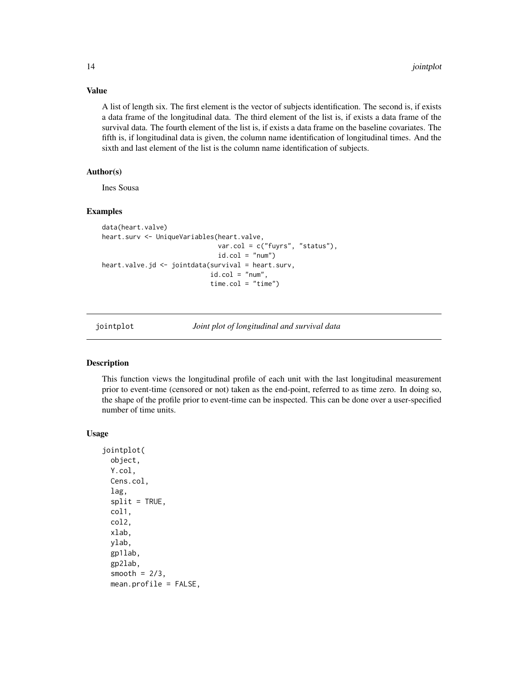Value

A list of length six. The first element is the vector of subjects identification. The second is, if exists a data frame of the longitudinal data. The third element of the list is, if exists a data frame of the survival data. The fourth element of the list is, if exists a data frame on the baseline covariates. The fifth is, if longitudinal data is given, the column name identification of longitudinal times. And the sixth and last element of the list is the column name identification of subjects.

# Author(s)

Ines Sousa

# Examples

```
data(heart.valve)
heart.surv <- UniqueVariables(heart.valve,
                              var.col = c("fuyrs", "status"),
                              id.co1 = "num")heart.valve.jd <- jointdata(survival = heart.surv,
                            id.co1 = "num",time.col = "time")
```
<span id="page-13-1"></span>

jointplot *Joint plot of longitudinal and survival data*

# Description

This function views the longitudinal profile of each unit with the last longitudinal measurement prior to event-time (censored or not) taken as the end-point, referred to as time zero. In doing so, the shape of the profile prior to event-time can be inspected. This can be done over a user-specified number of time units.

```
jointplot(
 object,
 Y.col,
 Cens.col,
  lag,
  split = TRUE,col1,
 col2,
  xlab,
 ylab,
  gp1lab,
 gp2lab,
  smooth = 2/3,
 mean.profile = FALSE,
```
<span id="page-13-0"></span>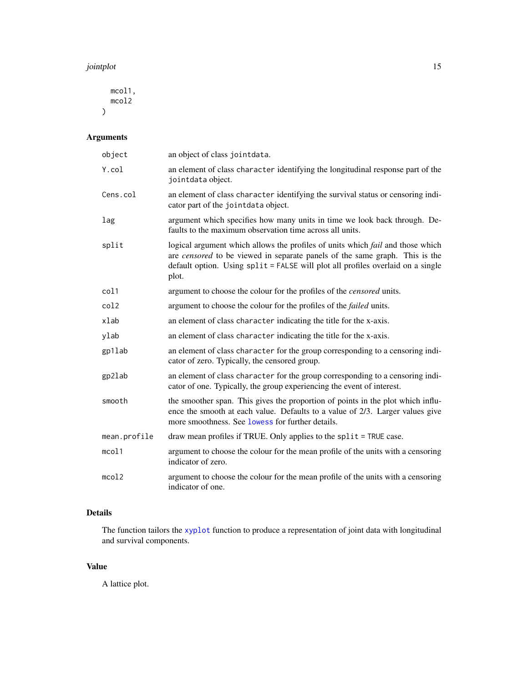#### <span id="page-14-0"></span>jointplot that the contract of the contract of the contract of the contract of the contract of the contract of the contract of the contract of the contract of the contract of the contract of the contract of the contract of

mcol1, mcol2 )

# Arguments

| object       | an object of class jointdata.                                                                                                                                                                                                                                    |
|--------------|------------------------------------------------------------------------------------------------------------------------------------------------------------------------------------------------------------------------------------------------------------------|
| Y.col        | an element of class character identifying the longitudinal response part of the<br>jointdata object.                                                                                                                                                             |
| Cens.col     | an element of class character identifying the survival status or censoring indi-<br>cator part of the jointdata object.                                                                                                                                          |
| lag          | argument which specifies how many units in time we look back through. De-<br>faults to the maximum observation time across all units.                                                                                                                            |
| split        | logical argument which allows the profiles of units which fail and those which<br>are <i>censored</i> to be viewed in separate panels of the same graph. This is the<br>default option. Using split = FALSE will plot all profiles overlaid on a single<br>plot. |
| col1         | argument to choose the colour for the profiles of the <i>censored</i> units.                                                                                                                                                                                     |
| col2         | argument to choose the colour for the profiles of the <i>failed</i> units.                                                                                                                                                                                       |
| xlab         | an element of class character indicating the title for the x-axis.                                                                                                                                                                                               |
| ylab         | an element of class character indicating the title for the x-axis.                                                                                                                                                                                               |
| gp1lab       | an element of class character for the group corresponding to a censoring indi-<br>cator of zero. Typically, the censored group.                                                                                                                                  |
| gp2lab       | an element of class character for the group corresponding to a censoring indi-<br>cator of one. Typically, the group experiencing the event of interest.                                                                                                         |
| smooth       | the smoother span. This gives the proportion of points in the plot which influ-<br>ence the smooth at each value. Defaults to a value of 2/3. Larger values give<br>more smoothness. See lowess for further details.                                             |
| mean.profile | draw mean profiles if TRUE. Only applies to the split = TRUE case.                                                                                                                                                                                               |
| mcol1        | argument to choose the colour for the mean profile of the units with a censoring<br>indicator of zero.                                                                                                                                                           |
| mcol2        | argument to choose the colour for the mean profile of the units with a censoring<br>indicator of one.                                                                                                                                                            |

# Details

The function tailors the [xyplot](#page-0-0) function to produce a representation of joint data with longitudinal and survival components.

# Value

A lattice plot.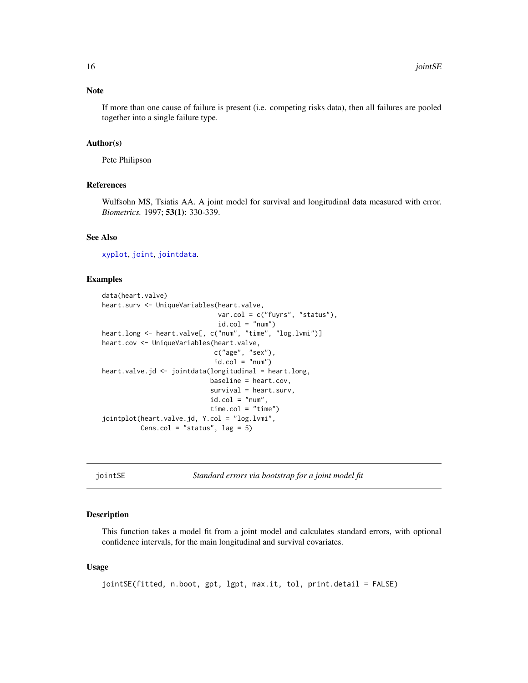# <span id="page-15-0"></span>Note

If more than one cause of failure is present (i.e. competing risks data), then all failures are pooled together into a single failure type.

## Author(s)

Pete Philipson

# References

Wulfsohn MS, Tsiatis AA. A joint model for survival and longitudinal data measured with error. *Biometrics.* 1997; 53(1): 330-339.

# See Also

[xyplot](#page-0-0), [joint](#page-6-1), [jointdata](#page-12-1).

# Examples

```
data(heart.valve)
heart.surv <- UniqueVariables(heart.valve,
                              var.col = c("fuyrs", "status"),
                               id.col = "num")heart.long <- heart.valve[, c("num", "time", "log.lvmi")]
heart.cov <- UniqueVariables(heart.valve,
                             c("age", "sex"),
                             id.col = "num")heart.valve.jd <- jointdata(longitudinal = heart.long,
                            baseline = heart.cov,
                            survival = heart.surv,
                            id.co1 = "num",time.col = "time")
jointplot(heart.valve.jd, Y.col = "log.lvmi",
          Cens.col = "status", \text{lag} = 5)
```
jointSE *Standard errors via bootstrap for a joint model fit*

#### Description

This function takes a model fit from a joint model and calculates standard errors, with optional confidence intervals, for the main longitudinal and survival covariates.

# Usage

jointSE(fitted, n.boot, gpt, lgpt, max.it, tol, print.detail = FALSE)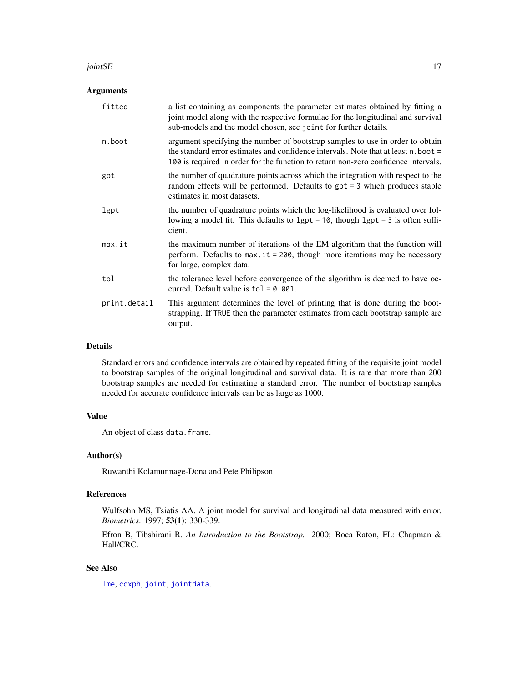#### <span id="page-16-0"></span> $jointSE$  17

# Arguments

| fitted       | a list containing as components the parameter estimates obtained by fitting a<br>joint model along with the respective formulae for the longitudinal and survival<br>sub-models and the model chosen, see joint for further details.                       |
|--------------|------------------------------------------------------------------------------------------------------------------------------------------------------------------------------------------------------------------------------------------------------------|
| n.boot       | argument specifying the number of bootstrap samples to use in order to obtain<br>the standard error estimates and confidence intervals. Note that at least n. boot =<br>100 is required in order for the function to return non-zero confidence intervals. |
| gpt          | the number of quadrature points across which the integration with respect to the<br>random effects will be performed. Defaults to $gpt = 3$ which produces stable<br>estimates in most datasets.                                                           |
| lgpt         | the number of quadrature points which the log-likelihood is evaluated over fol-<br>lowing a model fit. This defaults to $1gt = 10$ , though $1gt = 3$ is often suffi-<br>cient.                                                                            |
| max.it       | the maximum number of iterations of the EM algorithm that the function will<br>perform. Defaults to $max.$ it = 200, though more iterations may be necessary<br>for large, complex data.                                                                   |
| tol          | the tolerance level before convergence of the algorithm is deemed to have oc-<br>curred. Default value is $tol = 0.001$ .                                                                                                                                  |
| print.detail | This argument determines the level of printing that is done during the boot-<br>strapping. If TRUE then the parameter estimates from each bootstrap sample are<br>output.                                                                                  |

# Details

Standard errors and confidence intervals are obtained by repeated fitting of the requisite joint model to bootstrap samples of the original longitudinal and survival data. It is rare that more than 200 bootstrap samples are needed for estimating a standard error. The number of bootstrap samples needed for accurate confidence intervals can be as large as 1000.

# Value

An object of class data.frame.

# Author(s)

Ruwanthi Kolamunnage-Dona and Pete Philipson

# References

Wulfsohn MS, Tsiatis AA. A joint model for survival and longitudinal data measured with error. *Biometrics.* 1997; 53(1): 330-339.

Efron B, Tibshirani R. *An Introduction to the Bootstrap.* 2000; Boca Raton, FL: Chapman & Hall/CRC.

# See Also

[lme](#page-0-0), [coxph](#page-0-0), [joint](#page-6-1), [jointdata](#page-12-1).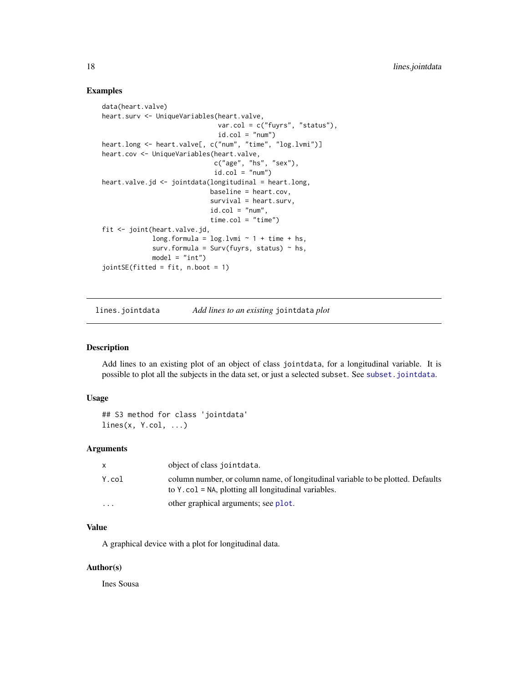# Examples

```
data(heart.valve)
heart.surv <- UniqueVariables(heart.valve,
                              var.col = c("fuyrs", "status"),
                              id.co1 = "num")heart.long <- heart.valve[, c("num", "time", "log.lvmi")]
heart.cov <- UniqueVariables(heart.valve,
                             c("age", "hs", "sex"),
                             id.co1 = "num")heart.valve.jd <- jointdata(longitudinal = heart.long,
                            baseline = heart.cov,
                            survival = heart.surv,
                            id.co1 = "num",time.col = "time")
fit <- joint(heart.valve.jd,
             long.formula = log.lvmi ~ 1 + time + hs,
             surv.formula = Surv(fuyrs, status) \sim hs,
             model = "int")jointSE(fitted = fit, n.boot = 1)
```
lines.jointdata *Add lines to an existing* jointdata *plot*

# Description

Add lines to an existing plot of an object of class jointdata, for a longitudinal variable. It is possible to plot all the subjects in the data set, or just a selected subset. See [subset.jointdata](#page-27-1).

# Usage

```
## S3 method for class 'jointdata'
lines(x, Y.col, ...)
```
# Arguments

| X.       | object of class jointdata.                                                                                                                 |
|----------|--------------------------------------------------------------------------------------------------------------------------------------------|
| Y.col    | column number, or column name, of longitudinal variable to be plotted. Defaults<br>to Y. col = $NA$ , plotting all longitudinal variables. |
| $\cdots$ | other graphical arguments; see plot.                                                                                                       |

# Value

A graphical device with a plot for longitudinal data.

# Author(s)

Ines Sousa

<span id="page-17-0"></span>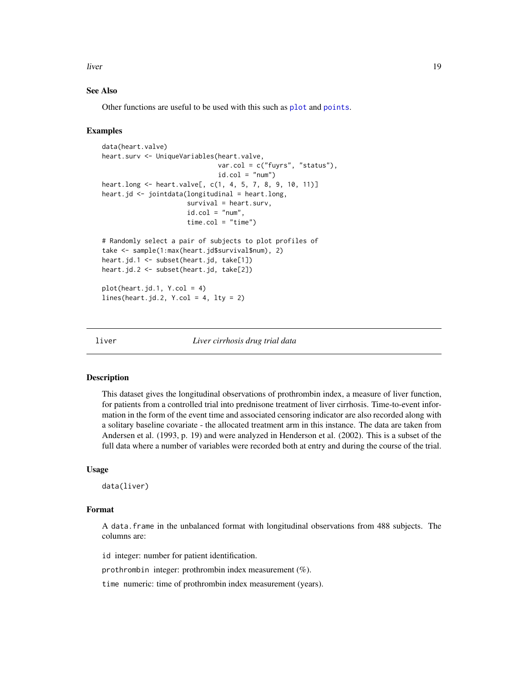<span id="page-18-0"></span>liver the contract of the contract of the contract of the contract of the contract of the contract of the contract of the contract of the contract of the contract of the contract of the contract of the contract of the cont

# See Also

Other functions are useful to be used with this such as [plot](#page-0-0) and [points](#page-0-0).

# Examples

```
data(heart.valve)
heart.surv <- UniqueVariables(heart.valve,
                              var.col = c("fuyrs", "status"),
                              id.col = "num")heart.long <- heart.valve[, c(1, 4, 5, 7, 8, 9, 10, 11)]
heart.jd \leq jointdata(longitudinal = heart.long,
                      survival = heart.surv,
                      id.co1 = "num",time.col = "time")# Randomly select a pair of subjects to plot profiles of
take <- sample(1:max(heart.jd$survival$num), 2)
heart.jd.1 <- subset(heart.jd, take[1])
heart.jd.2 <- subset(heart.jd, take[2])
plot(heart.jd.1, Y,col = 4)lines(heart.jd.2, Y,col = 4, lty = 2)
```
<span id="page-18-1"></span>

liver *Liver cirrhosis drug trial data*

## Description

This dataset gives the longitudinal observations of prothrombin index, a measure of liver function, for patients from a controlled trial into prednisone treatment of liver cirrhosis. Time-to-event information in the form of the event time and associated censoring indicator are also recorded along with a solitary baseline covariate - the allocated treatment arm in this instance. The data are taken from Andersen et al. (1993, p. 19) and were analyzed in Henderson et al. (2002). This is a subset of the full data where a number of variables were recorded both at entry and during the course of the trial.

# Usage

data(liver)

# Format

A data.frame in the unbalanced format with longitudinal observations from 488 subjects. The columns are:

id integer: number for patient identification.

prothrombin integer: prothrombin index measurement (%).

time numeric: time of prothrombin index measurement (years).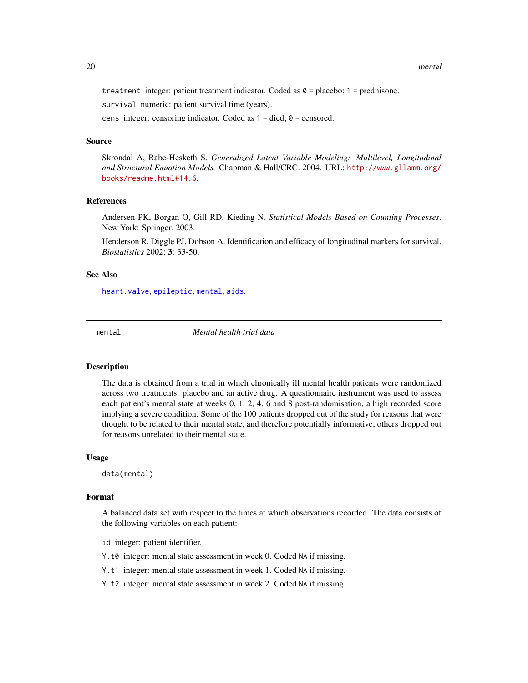<span id="page-19-0"></span>treatment integer: patient treatment indicator. Coded as  $0 =$  placebo;  $1 =$  prednisone.

survival numeric: patient survival time (years).

cens integer: censoring indicator. Coded as  $1 =$  died;  $0 =$  censored.

# Source

Skrondal A, Rabe-Hesketh S. *Generalized Latent Variable Modeling: Multilevel, Longitudinal and Structural Equation Models.* Chapman & Hall/CRC. 2004. URL: [http://www.gllamm.org/](http://www.gllamm.org/books/readme.html#14.6) [books/readme.html#14.6](http://www.gllamm.org/books/readme.html#14.6).

# References

Andersen PK, Borgan O, Gill RD, Kieding N. *Statistical Models Based on Counting Processes*. New York: Springer. 2003.

Henderson R, Diggle PJ, Dobson A. Identification and efficacy of longitudinal markers for survival. *Biostatistics* 2002; 3: 33-50.

# See Also

[heart.valve](#page-4-1), [epileptic](#page-3-1), [mental](#page-19-1), [aids](#page-2-1).

<span id="page-19-1"></span>

mental *Mental health trial data*

# Description

The data is obtained from a trial in which chronically ill mental health patients were randomized across two treatments: placebo and an active drug. A questionnaire instrument was used to assess each patient's mental state at weeks 0, 1, 2, 4, 6 and 8 post-randomisation, a high recorded score implying a severe condition. Some of the 100 patients dropped out of the study for reasons that were thought to be related to their mental state, and therefore potentially informative; others dropped out for reasons unrelated to their mental state.

#### Usage

data(mental)

# Format

A balanced data set with respect to the times at which observations recorded. The data consists of the following variables on each patient:

id integer: patient identifier.

Y.t0 integer: mental state assessment in week 0. Coded NA if missing.

Y.t1 integer: mental state assessment in week 1. Coded NA if missing.

Y.t2 integer: mental state assessment in week 2. Coded NA if missing.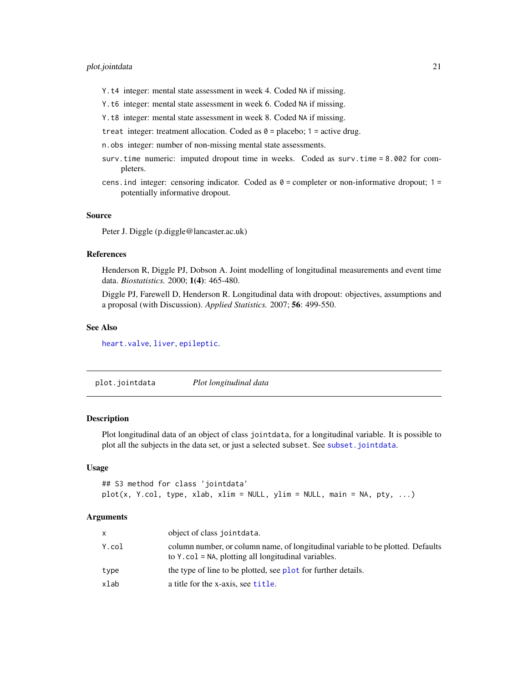# <span id="page-20-0"></span>plot.jointdata 21

- Y.t4 integer: mental state assessment in week 4. Coded NA if missing.
- Y.t6 integer: mental state assessment in week 6. Coded NA if missing.
- Y.t8 integer: mental state assessment in week 8. Coded NA if missing.
- treat integer: treatment allocation. Coded as  $\theta$  = placebo; 1 = active drug.
- n.obs integer: number of non-missing mental state assessments.
- surv.time numeric: imputed dropout time in weeks. Coded as surv.time = 8.002 for completers.
- cens. ind integer: censoring indicator. Coded as  $\theta$  = completer or non-informative dropout; 1 = potentially informative dropout.

# Source

Peter J. Diggle (p.diggle@lancaster.ac.uk)

# References

Henderson R, Diggle PJ, Dobson A. Joint modelling of longitudinal measurements and event time data. *Biostatistics.* 2000; 1(4): 465-480.

Diggle PJ, Farewell D, Henderson R. Longitudinal data with dropout: objectives, assumptions and a proposal (with Discussion). *Applied Statistics.* 2007; 56: 499-550.

#### See Also

[heart.valve](#page-4-1), [liver](#page-18-1), [epileptic](#page-3-1).

plot.jointdata *Plot longitudinal data*

# **Description**

Plot longitudinal data of an object of class jointdata, for a longitudinal variable. It is possible to plot all the subjects in the data set, or just a selected subset. See [subset.jointdata](#page-27-1).

# Usage

```
## S3 method for class 'jointdata'
plot(x, Y.col, type, xlab, xlim = NULL, ylim = NULL, main = NA, py, ...)
```

| X     | object of class jointdata.                                                                                                                      |
|-------|-------------------------------------------------------------------------------------------------------------------------------------------------|
| Y.col | column number, or column name, of longitudinal variable to be plotted. Defaults<br>to $Y \cdot col = NA$ , plotting all longitudinal variables. |
| type  | the type of line to be plotted, see plot for further details.                                                                                   |
| xlab  | a title for the x-axis, see title.                                                                                                              |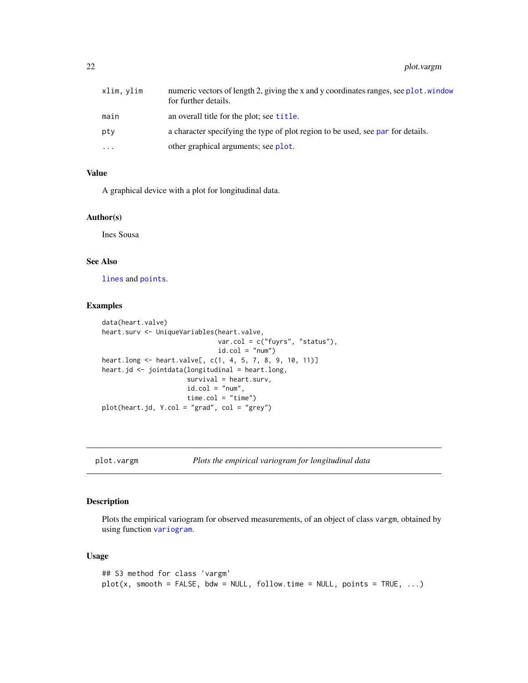<span id="page-21-0"></span>

| xlim, ylim | numeric vectors of length 2, giving the x and y coordinates ranges, see plot window<br>for further details. |
|------------|-------------------------------------------------------------------------------------------------------------|
| main       | an overall title for the plot; see title.                                                                   |
| pty        | a character specifying the type of plot region to be used, see par for details.                             |
| $\ddotsc$  | other graphical arguments; see plot.                                                                        |

# Value

A graphical device with a plot for longitudinal data.

## Author(s)

Ines Sousa

# See Also

[lines](#page-0-0) and [points](#page-0-0).

# Examples

```
data(heart.valve)
heart.surv <- UniqueVariables(heart.valve,
                             var.col = c("fuyrs", "status"),
                             id.col = "num")heart.long <- heart.valve[, c(1, 4, 5, 7, 8, 9, 10, 11)]
heart.jd <- jointdata(longitudinal = heart.long,
                      survival = heart.surv,
                     id.co1 = "num",time.col = "time")plot(heart.jd, Y.col = "grad", col = "grey")
```
<span id="page-21-1"></span>plot.vargm *Plots the empirical variogram for longitudinal data*

# Description

Plots the empirical variogram for observed measurements, of an object of class vargm, obtained by using function [variogram](#page-34-1).

```
## S3 method for class 'vargm'
plot(x, smooth = FALSE, bdw = NULL, follow.time = NULL, points = TRUE, ...)
```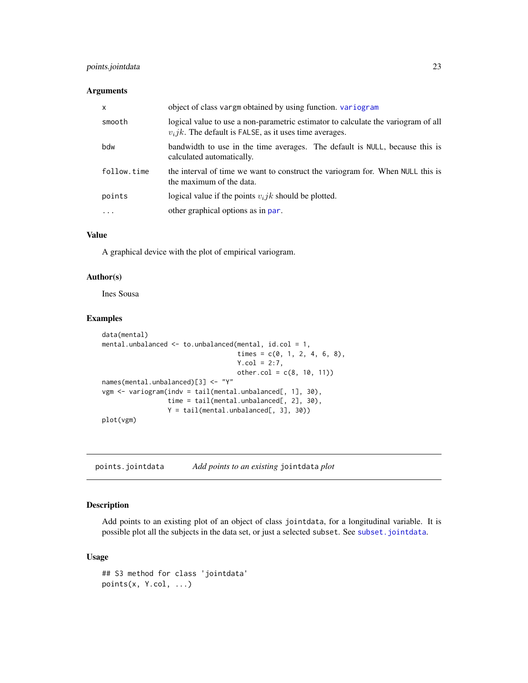# <span id="page-22-0"></span>points.jointdata 23

# Arguments

| $\mathsf{x}$ | object of class vargm obtained by using function. variogram                                                                                     |
|--------------|-------------------------------------------------------------------------------------------------------------------------------------------------|
| smooth       | logical value to use a non-parametric estimator to calculate the variogram of all<br>$v_i jk$ . The default is FALSE, as it uses time averages. |
| bdw          | bandwidth to use in the time averages. The default is NULL, because this is<br>calculated automatically.                                        |
| follow.time  | the interval of time we want to construct the variogram for. When NULL this is<br>the maximum of the data.                                      |
| points       | logical value if the points $v_i j k$ should be plotted.                                                                                        |
|              | other graphical options as in par.                                                                                                              |

# Value

A graphical device with the plot of empirical variogram.

# Author(s)

Ines Sousa

# Examples

```
data(mental)
mental.unbalanced <- to.unbalanced(mental, id.col = 1,
                                   times = c(0, 1, 2, 4, 6, 8),
                                   Y.col = 2:7,other.col = c(8, 10, 11)names(mental.unbalanced)[3] <- "Y"
vgm <- variogram(indv = tail(mental.unbalanced[, 1], 30),
                time = tail(mental.unbalanced[, 2], 30),
                 Y = tail(mental.unbalanced[, 3], 30))
plot(vgm)
```
points.jointdata *Add points to an existing* jointdata *plot*

# Description

Add points to an existing plot of an object of class jointdata, for a longitudinal variable. It is possible plot all the subjects in the data set, or just a selected subset. See [subset.jointdata](#page-27-1).

```
## S3 method for class 'jointdata'
points(x, Y.col, ...)
```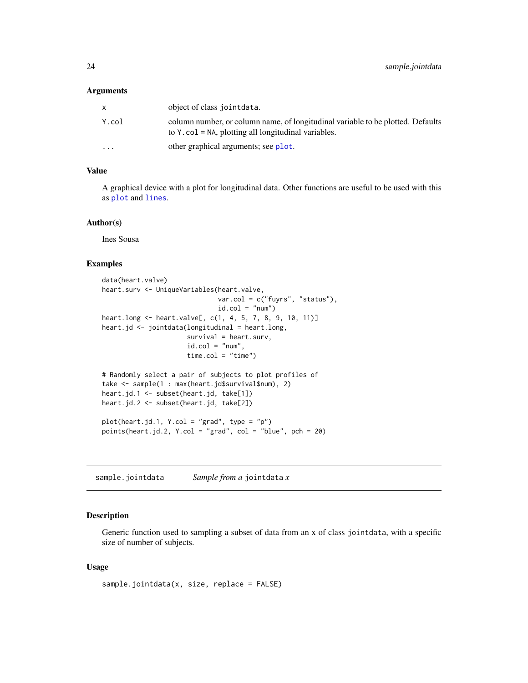#### <span id="page-23-0"></span>**Arguments**

| X        | object of class jointdata.                                                                                                                      |
|----------|-------------------------------------------------------------------------------------------------------------------------------------------------|
| Y.col    | column number, or column name, of longitudinal variable to be plotted. Defaults<br>to $Y \cdot col = NA$ , plotting all longitudinal variables. |
| $\cdots$ | other graphical arguments; see plot.                                                                                                            |

# Value

A graphical device with a plot for longitudinal data. Other functions are useful to be used with this as [plot](#page-0-0) and [lines](#page-0-0).

# Author(s)

Ines Sousa

# Examples

```
data(heart.valve)
heart.surv <- UniqueVariables(heart.valve,
                             var.col = c("fuyrs", "status"),
                             id.co1 = "num")heart.long <- heart.valve[, c(1, 4, 5, 7, 8, 9, 10, 11)]
heart.jd <- jointdata(longitudinal = heart.long,
                     survival = heart.surv,
                     id.co1 = "num",time.col = "time")
# Randomly select a pair of subjects to plot profiles of
take <- sample(1 : max(heart.jd$survival$num), 2)
heart.jd.1 <- subset(heart.jd, take[1])
heart.jd.2 <- subset(heart.jd, take[2])
plot(heart.jd.1, Y,col = "grad", type = "p")points(heart.jd.2, Y.col = "grad", col = "blue", pch = 20)
```
sample.jointdata *Sample from a* jointdata *x*

# Description

Generic function used to sampling a subset of data from an x of class jointdata, with a specific size of number of subjects.

```
sample.jointdata(x, size, replace = FALSE)
```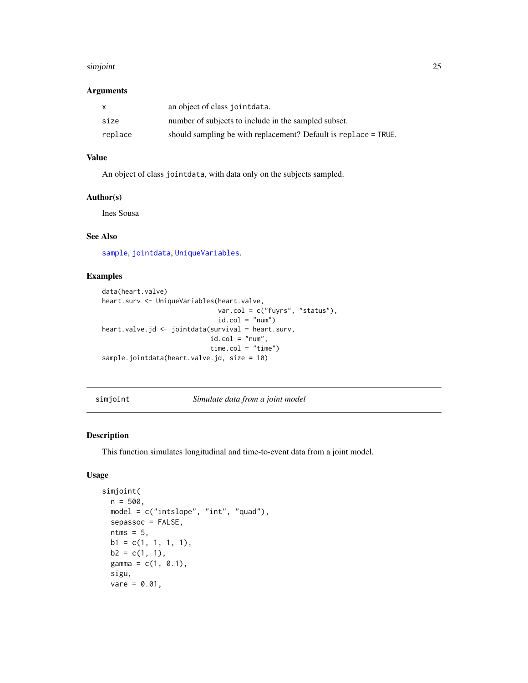#### <span id="page-24-0"></span>simjoint 25

# Arguments

| $\mathsf{x}$ | an object of class jointdata.                                   |
|--------------|-----------------------------------------------------------------|
| size         | number of subjects to include in the sampled subset.            |
| replace      | should sampling be with replacement? Default is replace = TRUE. |

# Value

An object of class jointdata, with data only on the subjects sampled.

# Author(s)

Ines Sousa

# See Also

[sample](#page-0-0), [jointdata](#page-12-1), [UniqueVariables](#page-33-1).

# Examples

```
data(heart.valve)
heart.surv <- UniqueVariables(heart.valve,
                             var.col = c("fuyrs", "status"),
                              id.co1 = "num")heart.valve.jd <- jointdata(survival = heart.surv,
                            id.col = "num",time.col = "time")sample.jointdata(heart.valve.jd, size = 10)
```
simjoint *Simulate data from a joint model*

# Description

This function simulates longitudinal and time-to-event data from a joint model.

```
simjoint(
 n = 500,model = c("intslope", "int", "quad"),
 sepassoc = FALSE,
 n \text{tms} = 5,
 b1 = c(1, 1, 1, 1),b2 = c(1, 1),gamma = c(1, 0.1),
  sigu,
 vare = 0.01,
```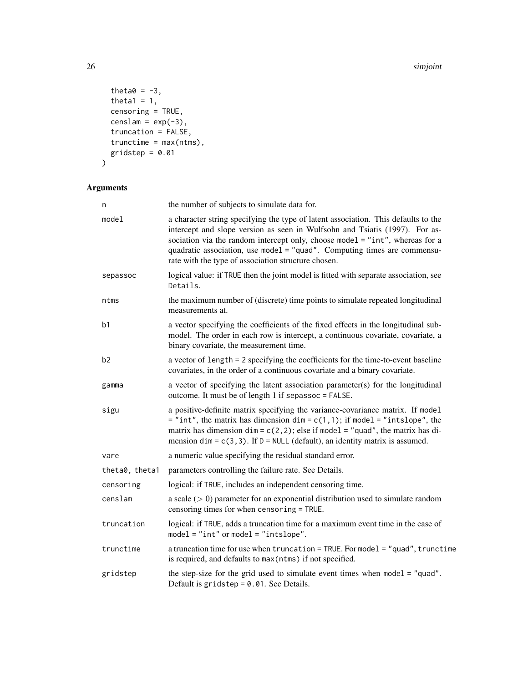#### 26 simjoint and the state of the state of the state of the state of the state of the state of the state of the

```
theta0 = -3,
 theta1 = 1,censoring = TRUE,
 censlam = exp(-3),
  truncation = FALSE,
 trunctime = max(ntms),
 gridstep = 0.01
\mathcal{L}
```

| n              | the number of subjects to simulate data for.                                                                                                                                                                                                                                                                                                                                         |  |
|----------------|--------------------------------------------------------------------------------------------------------------------------------------------------------------------------------------------------------------------------------------------------------------------------------------------------------------------------------------------------------------------------------------|--|
| model          | a character string specifying the type of latent association. This defaults to the<br>intercept and slope version as seen in Wulfsohn and Tsiatis (1997). For as-<br>sociation via the random intercept only, choose model = "int", whereas for a<br>quadratic association, use model = "quad". Computing times are commensu-<br>rate with the type of association structure chosen. |  |
| sepassoc       | logical value: if TRUE then the joint model is fitted with separate association, see<br>Details.                                                                                                                                                                                                                                                                                     |  |
| ntms           | the maximum number of (discrete) time points to simulate repeated longitudinal<br>measurements at.                                                                                                                                                                                                                                                                                   |  |
| b <sub>1</sub> | a vector specifying the coefficients of the fixed effects in the longitudinal sub-<br>model. The order in each row is intercept, a continuous covariate, covariate, a<br>binary covariate, the measurement time.                                                                                                                                                                     |  |
| b <sub>2</sub> | a vector of length = 2 specifying the coefficients for the time-to-event baseline<br>covariates, in the order of a continuous covariate and a binary covariate.                                                                                                                                                                                                                      |  |
| gamma          | a vector of specifying the latent association parameter(s) for the longitudinal<br>outcome. It must be of length 1 if sepassoc = FALSE.                                                                                                                                                                                                                                              |  |
| sigu           | a positive-definite matrix specifying the variance-covariance matrix. If model<br>$=$ "int", the matrix has dimension dim = $c(1,1)$ ; if model = "intslope", the<br>matrix has dimension dim = $c(2, 2)$ ; else if model = "quad", the matrix has di-<br>mension $\dim = c(3, 3)$ . If $D = NULL$ (default), an identity matrix is assumed.                                         |  |
| vare           | a numeric value specifying the residual standard error.                                                                                                                                                                                                                                                                                                                              |  |
| theta0, theta1 | parameters controlling the failure rate. See Details.                                                                                                                                                                                                                                                                                                                                |  |
| censoring      | logical: if TRUE, includes an independent censoring time.                                                                                                                                                                                                                                                                                                                            |  |
| censlam        | a scale $(> 0)$ parameter for an exponential distribution used to simulate random<br>censoring times for when censoring = TRUE.                                                                                                                                                                                                                                                      |  |
| truncation     | logical: if TRUE, adds a truncation time for a maximum event time in the case of<br>$model = "int" or model = "intslope".$                                                                                                                                                                                                                                                           |  |
| trunctime      | a truncation time for use when truncation = TRUE. For model = "quad", trunctime<br>is required, and defaults to max (ntms) if not specified.                                                                                                                                                                                                                                         |  |
| gridstep       | the step-size for the grid used to simulate event times when $model = "quad".$<br>Default is gridstep = $0.01$ . See Details.                                                                                                                                                                                                                                                        |  |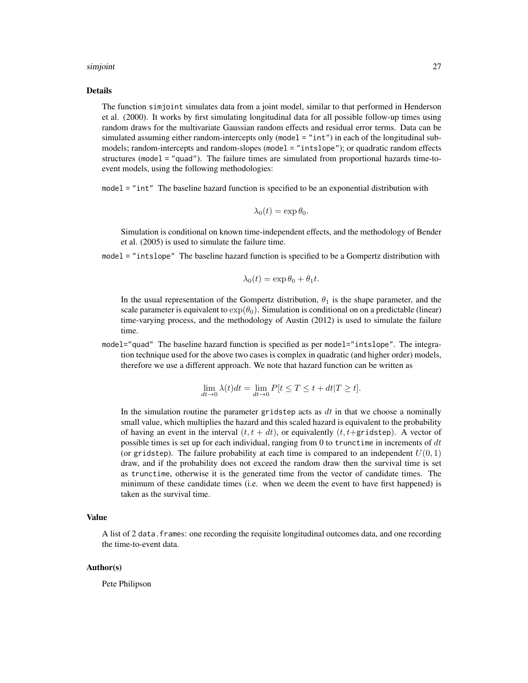#### simjoint 27

#### Details

The function simjoint simulates data from a joint model, similar to that performed in Henderson et al. (2000). It works by first simulating longitudinal data for all possible follow-up times using random draws for the multivariate Gaussian random effects and residual error terms. Data can be simulated assuming either random-intercepts only (model = "int") in each of the longitudinal submodels; random-intercepts and random-slopes (model = "intslope"); or quadratic random effects structures (model = "quad"). The failure times are simulated from proportional hazards time-toevent models, using the following methodologies:

model = "int" The baseline hazard function is specified to be an exponential distribution with

$$
\lambda_0(t) = \exp \theta_0.
$$

Simulation is conditional on known time-independent effects, and the methodology of Bender et al. (2005) is used to simulate the failure time.

model = "intslope" The baseline hazard function is specified to be a Gompertz distribution with

$$
\lambda_0(t) = \exp \theta_0 + \theta_1 t.
$$

In the usual representation of the Gompertz distribution,  $\theta_1$  is the shape parameter, and the scale parameter is equivalent to  $\exp(\theta_0)$ . Simulation is conditional on on a predictable (linear) time-varying process, and the methodology of Austin (2012) is used to simulate the failure time.

model="quad" The baseline hazard function is specified as per model="intslope". The integration technique used for the above two cases is complex in quadratic (and higher order) models, therefore we use a different approach. We note that hazard function can be written as

$$
\lim_{dt \to 0} \lambda(t)dt = \lim_{dt \to 0} P[t \le T \le t + dt | T \ge t].
$$

In the simulation routine the parameter gridstep acts as  $dt$  in that we choose a nominally small value, which multiplies the hazard and this scaled hazard is equivalent to the probability of having an event in the interval  $(t, t + dt)$ , or equivalently  $(t, t + \text{gridstep})$ . A vector of possible times is set up for each individual, ranging from 0 to trunctime in increments of  $dt$ (or gridstep). The failure probability at each time is compared to an independent  $U(0, 1)$ draw, and if the probability does not exceed the random draw then the survival time is set as trunctime, otherwise it is the generated time from the vector of candidate times. The minimum of these candidate times (i.e. when we deem the event to have first happened) is taken as the survival time.

# Value

A list of 2 data.frames: one recording the requisite longitudinal outcomes data, and one recording the time-to-event data.

#### Author(s)

Pete Philipson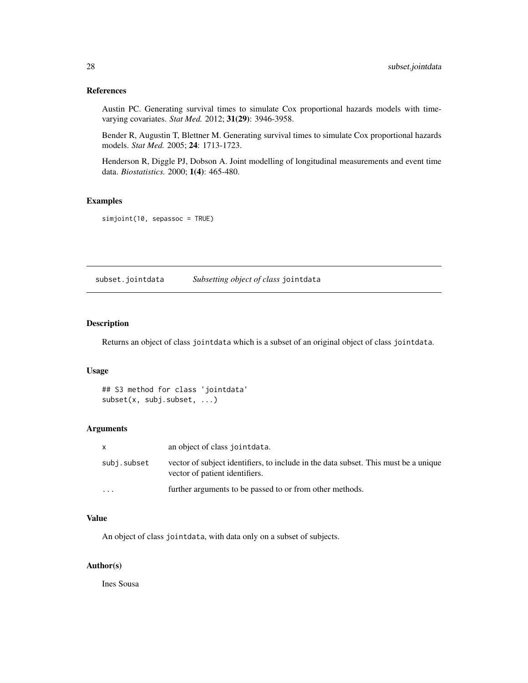# <span id="page-27-0"></span>References

Austin PC. Generating survival times to simulate Cox proportional hazards models with timevarying covariates. *Stat Med.* 2012; 31(29): 3946-3958.

Bender R, Augustin T, Blettner M. Generating survival times to simulate Cox proportional hazards models. *Stat Med.* 2005; 24: 1713-1723.

Henderson R, Diggle PJ, Dobson A. Joint modelling of longitudinal measurements and event time data. *Biostatistics.* 2000; 1(4): 465-480.

# Examples

simjoint(10, sepassoc = TRUE)

<span id="page-27-1"></span>subset.jointdata *Subsetting object of class* jointdata

# Description

Returns an object of class jointdata which is a subset of an original object of class jointdata.

# Usage

```
## S3 method for class 'jointdata'
subset(x, subj.subset, ...)
```
# Arguments

| $\mathsf{X}$            | an object of class jointdata.                                                                                         |
|-------------------------|-----------------------------------------------------------------------------------------------------------------------|
| subj.subset             | vector of subject identifiers, to include in the data subset. This must be a unique<br>vector of patient identifiers. |
| $\cdot$ $\cdot$ $\cdot$ | further arguments to be passed to or from other methods.                                                              |

# Value

An object of class jointdata, with data only on a subset of subjects.

# Author(s)

Ines Sousa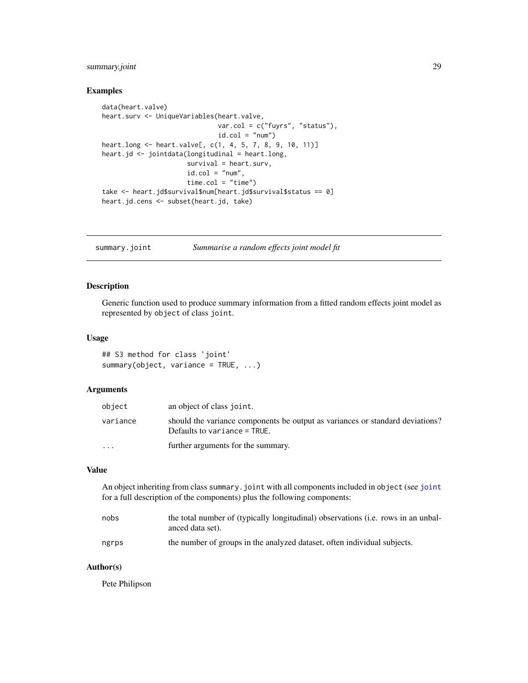# <span id="page-28-0"></span>summary.joint 29

# Examples

```
data(heart.valve)
heart.surv <- UniqueVariables(heart.valve,
                              var.col = c("fuyrs", "status"),
                              id.co1 = "num")heart.long <- heart.valve[, c(1, 4, 5, 7, 8, 9, 10, 11)]
heart.jd <- jointdata(longitudinal = heart.long,
                      survival = heart.surv,
                      id.co1 = "num",time.col = "time")
take <- heart.jd$survival$num[heart.jd$survival$status == 0]
heart.jd.cens <- subset(heart.jd, take)
```
summary.joint *Summarise a random effects joint model fit*

## Description

Generic function used to produce summary information from a fitted random effects joint model as represented by object of class joint.

# Usage

```
## S3 method for class 'joint'
summary(object, variance = TRUE, ...)
```
# Arguments

| object    | an object of class joint.                                                                                       |
|-----------|-----------------------------------------------------------------------------------------------------------------|
| variance  | should the variance components be output as variances or standard deviations?<br>Defaults to variance $=$ TRUE. |
| $\ddotsc$ | further arguments for the summary.                                                                              |

# Value

An object inheriting from class summary.joint with all components included in object (see [joint](#page-6-1) for a full description of the components) plus the following components:

| nobs  | the total number of (typically longitudinal) observations (i.e. rows in an unbal-<br>anced data set). |
|-------|-------------------------------------------------------------------------------------------------------|
| ngrps | the number of groups in the analyzed dataset, often individual subjects.                              |

# Author(s)

Pete Philipson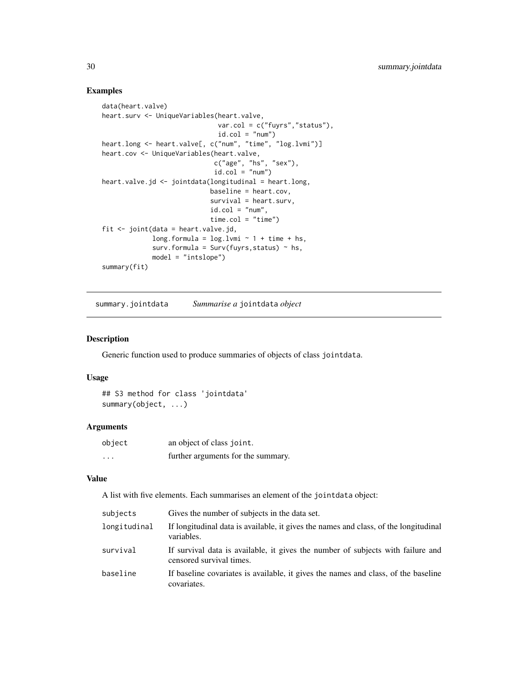# Examples

```
data(heart.valve)
heart.surv <- UniqueVariables(heart.valve,
                              var.col = c("fuyrs","status"),
                              id.co1 = "num")heart.long <- heart.valve[, c("num", "time", "log.lvmi")]
heart.cov <- UniqueVariables(heart.valve,
                             c("age", "hs", "sex"),
                             id.co1 = "num")heart.valve.jd <- jointdata(longitudinal = heart.long,
                            baseline = heart.cov,
                            survival = heart.surv,
                            id.co1 = "num",time.col = "time")
fit <- joint(data = heart.valve.jd,
             long.formula = log.lvmi ~ 1 + time + hs,
             surv.formula = Surv(fuyrs, status) ~ h.s,model = "intslope")
summary(fit)
```
summary.jointdata *Summarise a* jointdata *object*

#### Description

Generic function used to produce summaries of objects of class jointdata.

## Usage

```
## S3 method for class 'jointdata'
summary(object, ...)
```
# Arguments

| object                  | an object of class joint.          |
|-------------------------|------------------------------------|
| $\cdot$ $\cdot$ $\cdot$ | further arguments for the summary. |

# Value

A list with five elements. Each summarises an element of the jointdata object:

| subjects     | Gives the number of subjects in the data set.                                                               |
|--------------|-------------------------------------------------------------------------------------------------------------|
| longitudinal | If longitudinal data is available, it gives the names and class, of the longitudinal<br>variables.          |
| survival     | If survival data is available, it gives the number of subjects with failure and<br>censored survival times. |
| baseline     | If baseline covariates is available, it gives the names and class, of the baseline<br>covariates.           |

<span id="page-29-0"></span>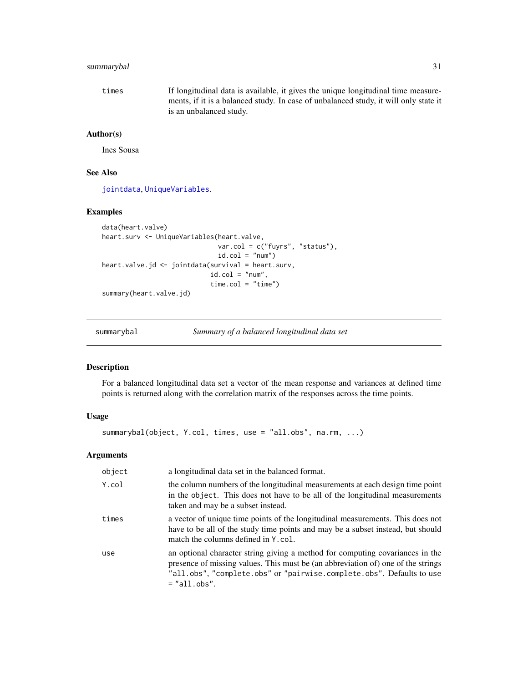# <span id="page-30-0"></span>summarybal 31

times If longitudinal data is available, it gives the unique longitudinal time measurements, if it is a balanced study. In case of unbalanced study, it will only state it is an unbalanced study.

# Author(s)

Ines Sousa

# See Also

[jointdata](#page-12-1), [UniqueVariables](#page-33-1).

# Examples

```
data(heart.valve)
heart.surv <- UniqueVariables(heart.valve,
                             var.col = c("fuyrs", "status"),
                              id.col = "num")
heart.valve.jd <- jointdata(survival = heart.surv,
                            id.co1 = "num",time.col = "time")summary(heart.valve.jd)
```
summarybal *Summary of a balanced longitudinal data set*

# Description

For a balanced longitudinal data set a vector of the mean response and variances at defined time points is returned along with the correlation matrix of the responses across the time points.

# Usage

summarybal(object, Y.col, times, use = "all.obs", na.rm, ...)

| object | a longitudinal data set in the balanced format.                                                                                                                                                                                                              |
|--------|--------------------------------------------------------------------------------------------------------------------------------------------------------------------------------------------------------------------------------------------------------------|
| Y.col  | the column numbers of the longitudinal measurements at each design time point<br>in the object. This does not have to be all of the longitudinal measurements<br>taken and may be a subset instead.                                                          |
| times  | a vector of unique time points of the longitudinal measurements. This does not<br>have to be all of the study time points and may be a subset instead, but should<br>match the columns defined in Y.col.                                                     |
| use    | an optional character string giving a method for computing covariances in the<br>presence of missing values. This must be (an abbreviation of) one of the strings<br>"all.obs", "complete.obs" or "pairwise.complete.obs". Defaults to use<br>$=$ "all.obs". |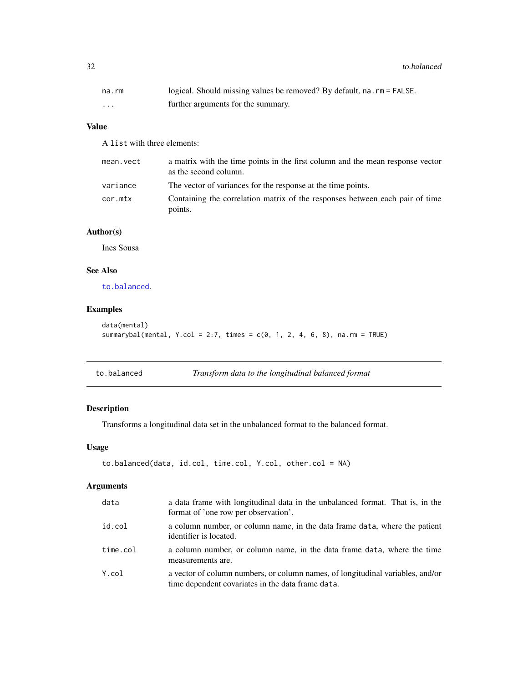<span id="page-31-0"></span>32 to.balanced the contract of the contract of the contract of the contract of the contract of the contract of the contract of the contract of the contract of the contract of the contract of the contract of the contract of

| na.rm    | logical. Should missing values be removed? By default, na. rm = FALSE. |
|----------|------------------------------------------------------------------------|
| $\cdots$ | further arguments for the summary.                                     |

# Value

A list with three elements:

| mean.vect | a matrix with the time points in the first column and the mean response vector<br>as the second column. |
|-----------|---------------------------------------------------------------------------------------------------------|
| variance  | The vector of variances for the response at the time points.                                            |
| cor.mtx   | Containing the correlation matrix of the responses between each pair of time<br>points.                 |

# Author(s)

Ines Sousa

# See Also

[to.balanced](#page-31-1).

# Examples

```
data(mental)
summarybal(mental, Y.col = 2:7, times = c(0, 1, 2, 4, 6, 8), na.rm = TRUE)
```
<span id="page-31-1"></span>

| to.balanced | Transform data to the longitudinal balanced format |  |  |
|-------------|----------------------------------------------------|--|--|
|-------------|----------------------------------------------------|--|--|

# Description

Transforms a longitudinal data set in the unbalanced format to the balanced format.

# Usage

```
to.balanced(data, id.col, time.col, Y.col, other.col = NA)
```

| data     | a data frame with longitudinal data in the unbalanced format. That is, in the<br>format of 'one row per observation'.               |
|----------|-------------------------------------------------------------------------------------------------------------------------------------|
| id.col   | a column number, or column name, in the data frame data, where the patient<br>identifier is located.                                |
| time.col | a column number, or column name, in the data frame data, where the time<br>measurements are.                                        |
| Y.col    | a vector of column numbers, or column names, of longitudinal variables, and/or<br>time dependent covariates in the data frame data. |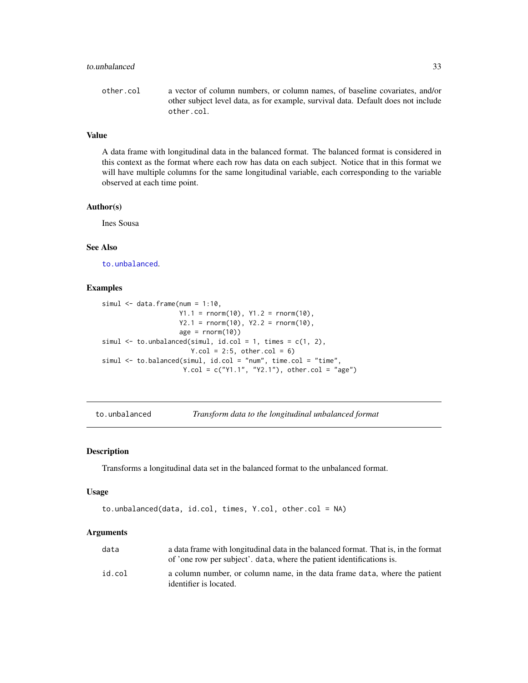# <span id="page-32-0"></span>to.unbalanced 33

other.col a vector of column numbers, or column names, of baseline covariates, and/or other subject level data, as for example, survival data. Default does not include other.col.

# Value

A data frame with longitudinal data in the balanced format. The balanced format is considered in this context as the format where each row has data on each subject. Notice that in this format we will have multiple columns for the same longitudinal variable, each corresponding to the variable observed at each time point.

## Author(s)

Ines Sousa

# See Also

[to.unbalanced](#page-32-1).

# Examples

```
simul \leq data.frame(num = 1:10,
                    Y1.1 = rnorm(10), Y1.2 = rnorm(10),
                    Y2.1 = rnorm(10), Y2.2 = rnorm(10),age = rnorm(10)simul \leq to.unbalanced(simul, id.col = 1, times = c(1, 2),
                       Y.col = 2:5, other.col = 6simul <- to.balanced(simul, id.col = "num", time.col = "time",
                     Y.col = c("Y1.1", "Y2.1"), other.col = "age")
```
<span id="page-32-1"></span>to.unbalanced *Transform data to the longitudinal unbalanced format*

# Description

Transforms a longitudinal data set in the balanced format to the unbalanced format.

#### Usage

```
to.unbalanced(data, id.col, times, Y.col, other.col = NA)
```

| data   | a data frame with longitudinal data in the balanced format. That is, in the format<br>of 'one row per subject', data, where the patient identifications is. |
|--------|-------------------------------------------------------------------------------------------------------------------------------------------------------------|
| id.col | a column number, or column name, in the data frame data, where the patient<br>identifier is located.                                                        |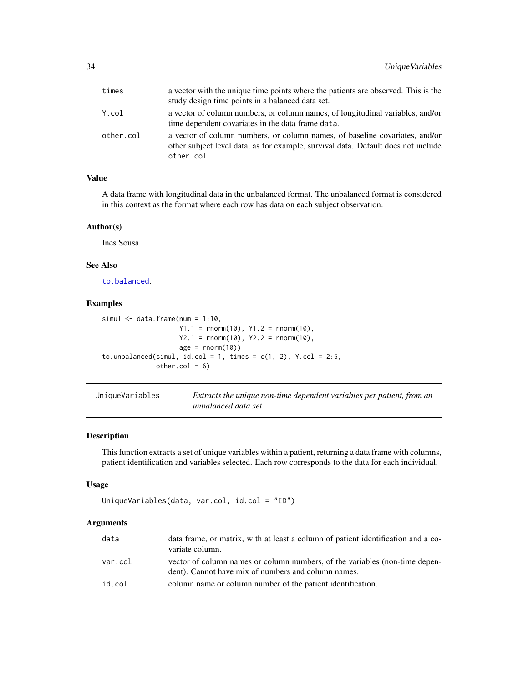<span id="page-33-0"></span>

| times     | a vector with the unique time points where the patients are observed. This is the<br>study design time points in a balanced data set.                                          |
|-----------|--------------------------------------------------------------------------------------------------------------------------------------------------------------------------------|
| Y.col     | a vector of column numbers, or column names, of longitudinal variables, and/or<br>time dependent covariates in the data frame data.                                            |
| other.col | a vector of column numbers, or column names, of baseline covariates, and/or<br>other subject level data, as for example, survival data. Default does not include<br>other.col. |

# Value

A data frame with longitudinal data in the unbalanced format. The unbalanced format is considered in this context as the format where each row has data on each subject observation.

# Author(s)

Ines Sousa

# See Also

[to.balanced](#page-31-1).

# Examples

```
simul \leq data.frame(num = 1:10,
                     Y1.1 = rnorm(10), Y1.2 = rnorm(10),Y2.1 = \text{rnorm}(10), Y2.2 = \text{rnorm}(10),age = rnorm(10)to.unbalanced(simul, id.col = 1, times = c(1, 2), Y.col = 2:5,
              other.col = 6)
```
<span id="page-33-1"></span>

| UniqueVariables | Extracts the unique non-time dependent variables per patient, from an |
|-----------------|-----------------------------------------------------------------------|
|                 | unbalanced data set                                                   |

# Description

This function extracts a set of unique variables within a patient, returning a data frame with columns, patient identification and variables selected. Each row corresponds to the data for each individual.

# Usage

```
UniqueVariables(data, var.col, id.col = "ID")
```

| data    | data frame, or matrix, with at least a column of patient identification and a co-<br>variate column.                               |
|---------|------------------------------------------------------------------------------------------------------------------------------------|
| var.col | vector of column names or column numbers, of the variables (non-time depen-<br>dent). Cannot have mix of numbers and column names. |
| id.col  | column name or column number of the patient identification.                                                                        |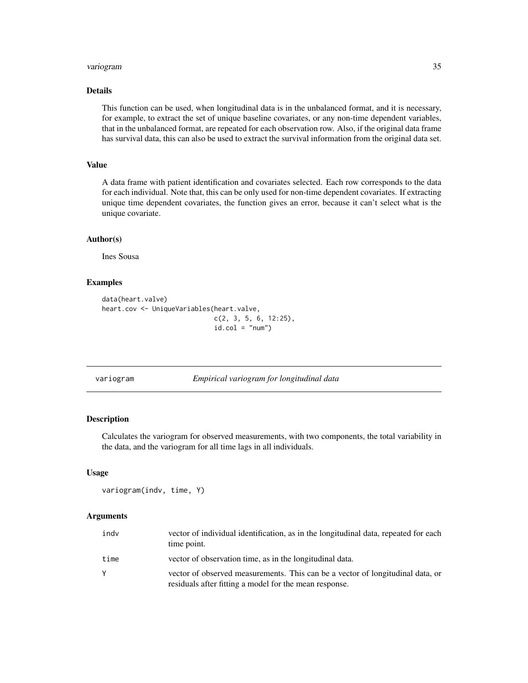#### <span id="page-34-0"></span>variogram 35

# Details

This function can be used, when longitudinal data is in the unbalanced format, and it is necessary, for example, to extract the set of unique baseline covariates, or any non-time dependent variables, that in the unbalanced format, are repeated for each observation row. Also, if the original data frame has survival data, this can also be used to extract the survival information from the original data set.

# Value

A data frame with patient identification and covariates selected. Each row corresponds to the data for each individual. Note that, this can be only used for non-time dependent covariates. If extracting unique time dependent covariates, the function gives an error, because it can't select what is the unique covariate.

# Author(s)

Ines Sousa

# Examples

```
data(heart.valve)
heart.cov <- UniqueVariables(heart.valve,
                             c(2, 3, 5, 6, 12:25),
                             id.col = "num")
```
<span id="page-34-1"></span>variogram *Empirical variogram for longitudinal data*

# Description

Calculates the variogram for observed measurements, with two components, the total variability in the data, and the variogram for all time lags in all individuals.

### Usage

```
variogram(indv, time, Y)
```

| indv | vector of individual identification, as in the longitudinal data, repeated for each<br>time point.                                       |
|------|------------------------------------------------------------------------------------------------------------------------------------------|
| time | vector of observation time, as in the longitudinal data.                                                                                 |
| Y    | vector of observed measurements. This can be a vector of longitudinal data, or<br>residuals after fitting a model for the mean response. |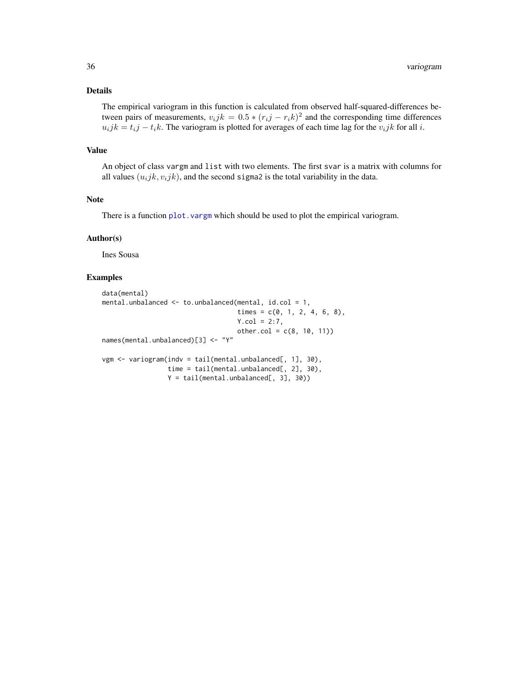# <span id="page-35-0"></span>Details

The empirical variogram in this function is calculated from observed half-squared-differences between pairs of measurements,  $v_i j k = 0.5 * (r_i j - r_i k)^2$  and the corresponding time differences  $u_ijk = t_i j - t_i k$ . The variogram is plotted for averages of each time lag for the  $v_ijk$  for all i.

# Value

An object of class vargm and list with two elements. The first svar is a matrix with columns for all values  $(u_ijk, v_ijk)$ , and the second sigma2 is the total variability in the data.

# Note

There is a function plot. vargm which should be used to plot the empirical variogram.

#### Author(s)

Ines Sousa

# Examples

```
data(mental)
mental.unbalanced <- to.unbalanced(mental, id.col = 1,
                                  times = c(0, 1, 2, 4, 6, 8),
                                  Y.col = 2:7,other.col = c(8, 10, 11))names(mental.unbalanced)[3] <- "Y"
vgm <- variogram(indv = tail(mental.unbalanced[, 1], 30),
                time = tail(mental.unbalanced[, 2], 30),
                Y = tail(mental.unbalanced[, 3], 30)
```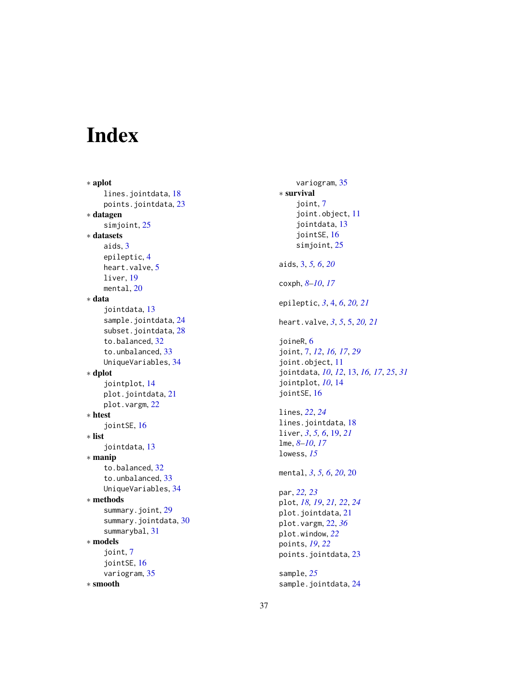# <span id="page-36-0"></span>Index

∗ aplot lines.jointdata, [18](#page-17-0) points.jointdata , [23](#page-22-0) ∗ datagen simjoint, [25](#page-24-0) ∗ datasets aids , [3](#page-2-0) epileptic , [4](#page-3-0) heart.valve, <mark>[5](#page-4-0)</mark> liver , [19](#page-18-0) mental, [20](#page-19-0) ∗ data jointdata , [13](#page-12-0) sample.jointdata , [24](#page-23-0) subset.jointdata , [28](#page-27-0) to.balanced , [32](#page-31-0) to.unbalanced , [33](#page-32-0) UniqueVariables , [34](#page-33-0) ∗ dplot jointplot , [14](#page-13-0) plot.jointdata , [21](#page-20-0) plot.vargm, [22](#page-21-0) ∗ htest jointSE , [16](#page-15-0) ∗ list jointdata , [13](#page-12-0) ∗ manip to.balanced , [32](#page-31-0) to.unbalanced , [33](#page-32-0) UniqueVariables , [34](#page-33-0) ∗ methods summary.joint, [29](#page-28-0) summary.jointdata, [30](#page-29-0) summarybal , [31](#page-30-0) ∗ models joint , [7](#page-6-0) jointSE, [16](#page-15-0) variogram , [35](#page-34-0) ∗ smooth

variogram , [35](#page-34-0) ∗ survival joint , [7](#page-6-0) joint.object , [11](#page-10-0) jointdata , [13](#page-12-0) jointSE, [16](#page-15-0) simjoint , [25](#page-24-0) aids , [3](#page-2-0) , *[5](#page-4-0) , [6](#page-5-0)* , *[20](#page-19-0)* coxph , *[8](#page-7-0) [–10](#page-9-0)* , *[17](#page-16-0)* epileptic , *[3](#page-2-0)* , [4](#page-3-0) , *[6](#page-5-0)* , *[20](#page-19-0) , [21](#page-20-0)* heart.valve, [3](#page-2-0), [5](#page-4-0), 5, [20](#page-19-0), [21](#page-20-0) joineR, [6](#page-5-0) joint , [7](#page-6-0) , *[12](#page-11-0)* , *[16,](#page-15-0) [17](#page-16-0)* , *[29](#page-28-0)* joint.object , [11](#page-10-0) jointdata , *[10](#page-9-0)* , *[12](#page-11-0)* , [13](#page-12-0) , *[16,](#page-15-0) [17](#page-16-0)* , *[25](#page-24-0)* , *[31](#page-30-0)* jointplot , *[10](#page-9-0)* , [14](#page-13-0) jointSE, [16](#page-15-0) lines , *[22](#page-21-0)* , *[24](#page-23-0)* lines.jointdata, [18](#page-17-0) liver, [3](#page-2-0), [5](#page-4-0), [6](#page-5-0), [19](#page-18-0), [21](#page-20-0) lme , *[8](#page-7-0) [–10](#page-9-0)* , *[17](#page-16-0)* lowess , *[15](#page-14-0)* mental, [3](#page-2-0), [5](#page-4-0), [6](#page-5-0), [20](#page-19-0), 20 par , *[22](#page-21-0) , [23](#page-22-0)* plot , *[18](#page-17-0) , [19](#page-18-0)* , *[21](#page-20-0) , [22](#page-21-0)* , *[24](#page-23-0)* plot.jointdata , [21](#page-20-0) plot.vargm , [22](#page-21-0) , *[36](#page-35-0)* plot.window , *[22](#page-21-0)* points , *[19](#page-18-0)* , *[22](#page-21-0)* points.jointdata , [23](#page-22-0) sample , *[25](#page-24-0)* sample.jointdata , [24](#page-23-0)